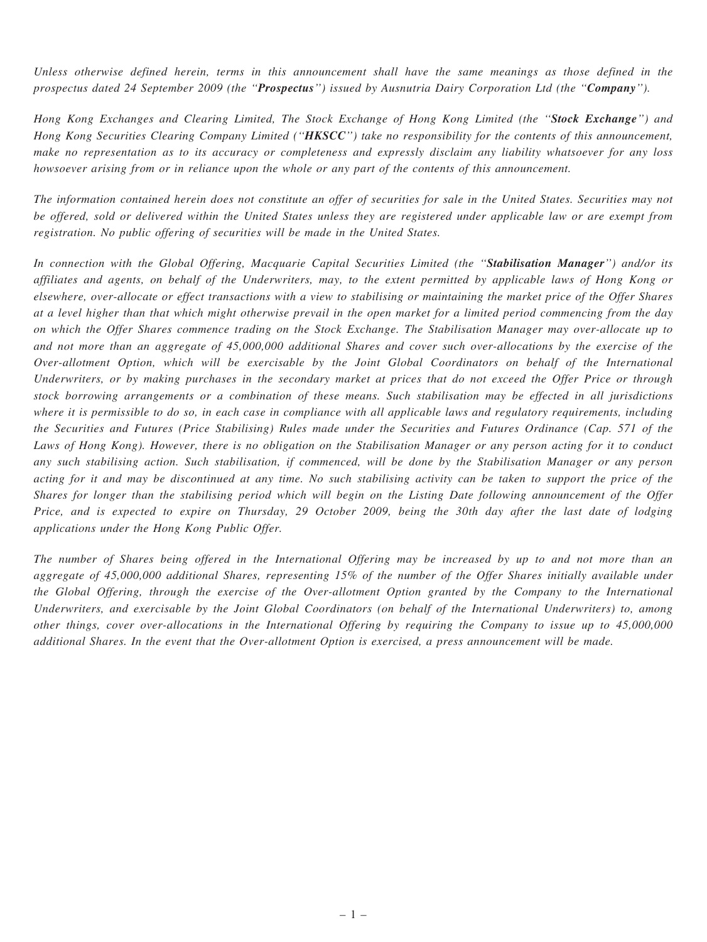Unless otherwise defined herein, terms in this announcement shall have the same meanings as those defined in the prospectus dated 24 September 2009 (the "Prospectus") issued by Ausnutria Dairy Corporation Ltd (the "Company").

Hong Kong Exchanges and Clearing Limited, The Stock Exchange of Hong Kong Limited (the "Stock Exchange") and Hong Kong Securities Clearing Company Limited ("HKSCC") take no responsibility for the contents of this announcement, make no representation as to its accuracy or completeness and expressly disclaim any liability whatsoever for any loss howsoever arising from or in reliance upon the whole or any part of the contents of this announcement.

The information contained herein does not constitute an offer of securities for sale in the United States. Securities may not be offered, sold or delivered within the United States unless they are registered under applicable law or are exempt from registration. No public offering of securities will be made in the United States.

In connection with the Global Offering, Macquarie Capital Securities Limited (the "Stabilisation Manager") and/or its affiliates and agents, on behalf of the Underwriters, may, to the extent permitted by applicable laws of Hong Kong or elsewhere, over-allocate or effect transactions with a view to stabilising or maintaining the market price of the Offer Shares at a level higher than that which might otherwise prevail in the open market for a limited period commencing from the day on which the Offer Shares commence trading on the Stock Exchange. The Stabilisation Manager may over-allocate up to and not more than an aggregate of 45,000,000 additional Shares and cover such over-allocations by the exercise of the Over-allotment Option, which will be exercisable by the Joint Global Coordinators on behalf of the International Underwriters, or by making purchases in the secondary market at prices that do not exceed the Offer Price or through stock borrowing arrangements or a combination of these means. Such stabilisation may be effected in all jurisdictions where it is permissible to do so, in each case in compliance with all applicable laws and regulatory requirements, including the Securities and Futures (Price Stabilising) Rules made under the Securities and Futures Ordinance (Cap. 571 of the Laws of Hong Kong). However, there is no obligation on the Stabilisation Manager or any person acting for it to conduct any such stabilising action. Such stabilisation, if commenced, will be done by the Stabilisation Manager or any person acting for it and may be discontinued at any time. No such stabilising activity can be taken to support the price of the Shares for longer than the stabilising period which will begin on the Listing Date following announcement of the Offer Price, and is expected to expire on Thursday, 29 October 2009, being the 30th day after the last date of lodging applications under the Hong Kong Public Offer.

The number of Shares being offered in the International Offering may be increased by up to and not more than an aggregate of 45,000,000 additional Shares, representing 15% of the number of the Offer Shares initially available under the Global Offering, through the exercise of the Over-allotment Option granted by the Company to the International Underwriters, and exercisable by the Joint Global Coordinators (on behalf of the International Underwriters) to, among other things, cover over-allocations in the International Offering by requiring the Company to issue up to 45,000,000 additional Shares. In the event that the Over-allotment Option is exercised, a press announcement will be made.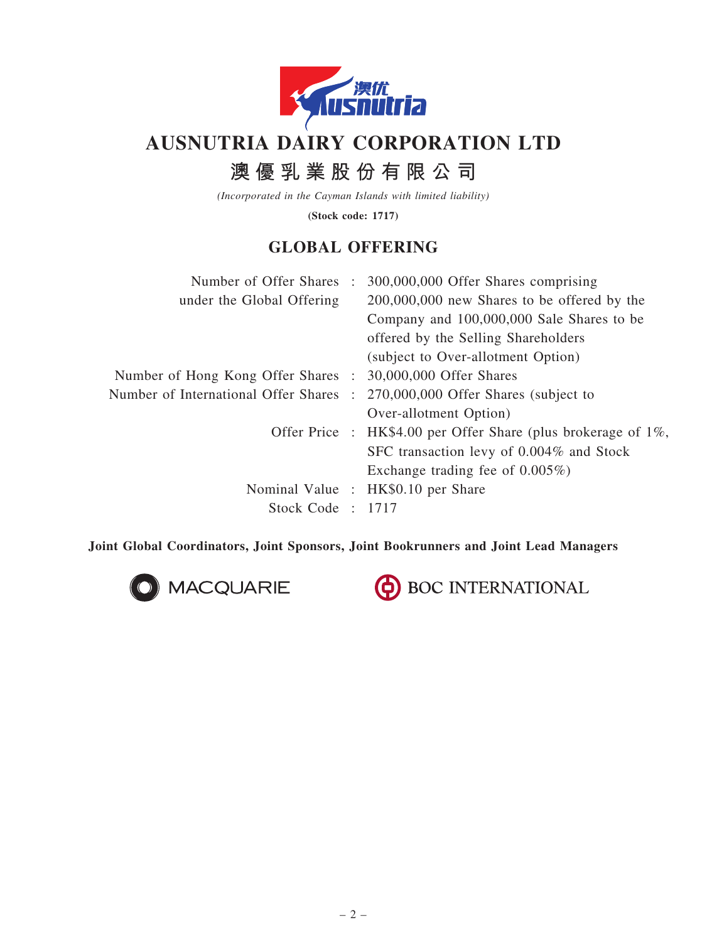

# AUSNUTRIA DAIRY CORPORATION LTD

# 澳 優 乳 業 股 份 有 限 公 司

(Incorporated in the Cayman Islands with limited liability)

(Stock code: 1717)

# GLOBAL OFFERING

| Number of Offer Shares:                                    | 300,000,000 Offer Shares comprising                                |
|------------------------------------------------------------|--------------------------------------------------------------------|
| under the Global Offering                                  | $200,000,000$ new Shares to be offered by the                      |
|                                                            | Company and 100,000,000 Sale Shares to be                          |
|                                                            | offered by the Selling Shareholders                                |
|                                                            | (subject to Over-allotment Option)                                 |
| Number of Hong Kong Offer Shares : 30,000,000 Offer Shares |                                                                    |
| Number of International Offer Shares :                     | 270,000,000 Offer Shares (subject to                               |
|                                                            | Over-allotment Option)                                             |
|                                                            | Offer Price : $HK$4.00$ per Offer Share (plus brokerage of $1\%$ , |
|                                                            | SFC transaction levy of 0.004% and Stock                           |
|                                                            | Exchange trading fee of $0.005\%$ )                                |
|                                                            | Nominal Value : HK\$0.10 per Share                                 |
| Stock Code: 1717                                           |                                                                    |
|                                                            |                                                                    |

Joint Global Coordinators, Joint Sponsors, Joint Bookrunners and Joint Lead Managers



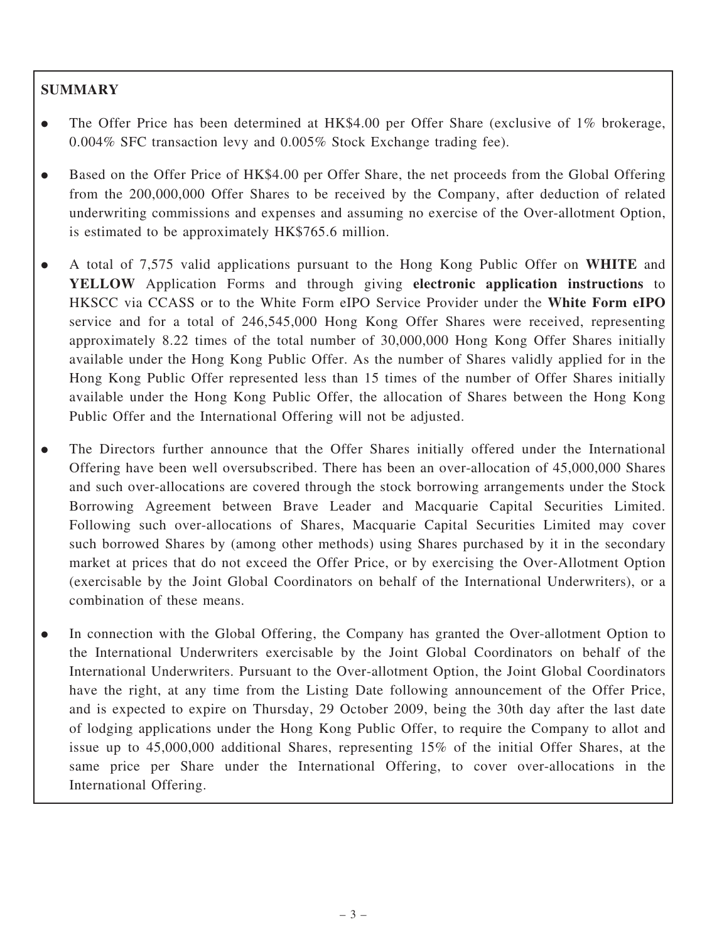### **SUMMARY**

- . The Offer Price has been determined at HK\$4.00 per Offer Share (exclusive of 1% brokerage, 0.004% SFC transaction levy and 0.005% Stock Exchange trading fee).
- . Based on the Offer Price of HK\$4.00 per Offer Share, the net proceeds from the Global Offering from the 200,000,000 Offer Shares to be received by the Company, after deduction of related underwriting commissions and expenses and assuming no exercise of the Over-allotment Option, is estimated to be approximately HK\$765.6 million.
- . A total of 7,575 valid applications pursuant to the Hong Kong Public Offer on WHITE and YELLOW Application Forms and through giving electronic application instructions to HKSCC via CCASS or to the White Form eIPO Service Provider under the White Form eIPO service and for a total of 246,545,000 Hong Kong Offer Shares were received, representing approximately 8.22 times of the total number of 30,000,000 Hong Kong Offer Shares initially available under the Hong Kong Public Offer. As the number of Shares validly applied for in the Hong Kong Public Offer represented less than 15 times of the number of Offer Shares initially available under the Hong Kong Public Offer, the allocation of Shares between the Hong Kong Public Offer and the International Offering will not be adjusted.
- . The Directors further announce that the Offer Shares initially offered under the International Offering have been well oversubscribed. There has been an over-allocation of 45,000,000 Shares and such over-allocations are covered through the stock borrowing arrangements under the Stock Borrowing Agreement between Brave Leader and Macquarie Capital Securities Limited. Following such over-allocations of Shares, Macquarie Capital Securities Limited may cover such borrowed Shares by (among other methods) using Shares purchased by it in the secondary market at prices that do not exceed the Offer Price, or by exercising the Over-Allotment Option (exercisable by the Joint Global Coordinators on behalf of the International Underwriters), or a combination of these means.
- . In connection with the Global Offering, the Company has granted the Over-allotment Option to the International Underwriters exercisable by the Joint Global Coordinators on behalf of the International Underwriters. Pursuant to the Over-allotment Option, the Joint Global Coordinators have the right, at any time from the Listing Date following announcement of the Offer Price, and is expected to expire on Thursday, 29 October 2009, being the 30th day after the last date of lodging applications under the Hong Kong Public Offer, to require the Company to allot and issue up to 45,000,000 additional Shares, representing 15% of the initial Offer Shares, at the same price per Share under the International Offering, to cover over-allocations in the International Offering.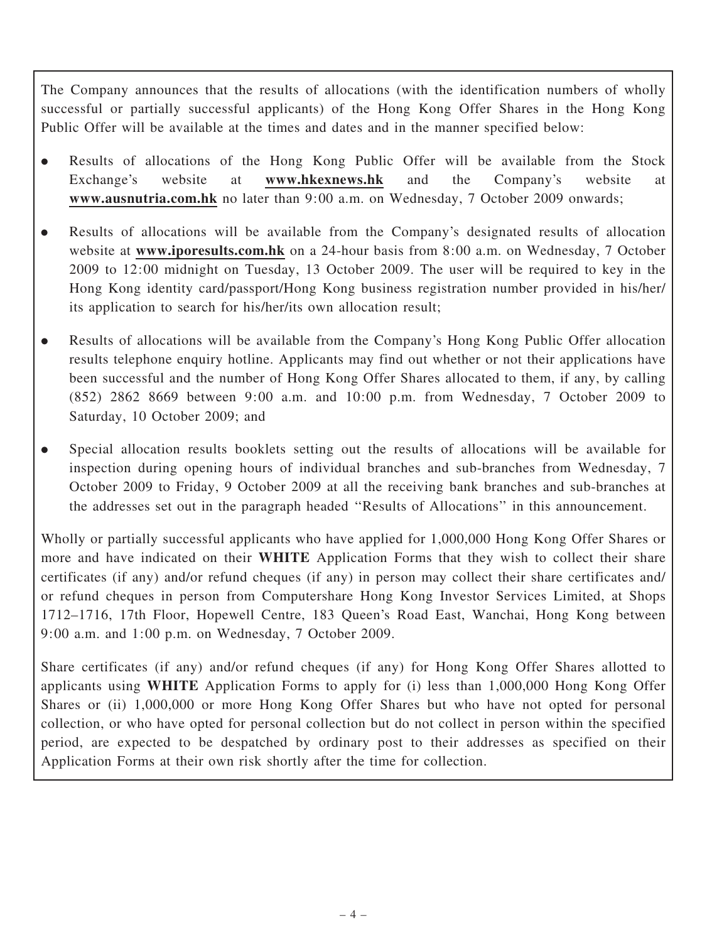The Company announces that the results of allocations (with the identification numbers of wholly successful or partially successful applicants) of the Hong Kong Offer Shares in the Hong Kong Public Offer will be available at the times and dates and in the manner specified below:

- . Results of allocations of the Hong Kong Public Offer will be available from the Stock Exchange's website at www.hkexnews.hk and the Company's website at www.ausnutria.com.hk no later than 9:00 a.m. on Wednesday, 7 October 2009 onwards;
- . Results of allocations will be available from the Company's designated results of allocation website at www.iporesults.com.hk on a 24-hour basis from 8:00 a.m. on Wednesday, 7 October 2009 to 12:00 midnight on Tuesday, 13 October 2009. The user will be required to key in the Hong Kong identity card/passport/Hong Kong business registration number provided in his/her/ its application to search for his/her/its own allocation result;
- . Results of allocations will be available from the Company's Hong Kong Public Offer allocation results telephone enquiry hotline. Applicants may find out whether or not their applications have been successful and the number of Hong Kong Offer Shares allocated to them, if any, by calling (852) 2862 8669 between 9:00 a.m. and 10:00 p.m. from Wednesday, 7 October 2009 to Saturday, 10 October 2009; and
- . Special allocation results booklets setting out the results of allocations will be available for inspection during opening hours of individual branches and sub-branches from Wednesday, 7 October 2009 to Friday, 9 October 2009 at all the receiving bank branches and sub-branches at the addresses set out in the paragraph headed ''Results of Allocations'' in this announcement.

Wholly or partially successful applicants who have applied for 1,000,000 Hong Kong Offer Shares or more and have indicated on their **WHITE** Application Forms that they wish to collect their share certificates (if any) and/or refund cheques (if any) in person may collect their share certificates and/ or refund cheques in person from Computershare Hong Kong Investor Services Limited, at Shops 1712–1716, 17th Floor, Hopewell Centre, 183 Queen's Road East, Wanchai, Hong Kong between 9:00 a.m. and 1:00 p.m. on Wednesday, 7 October 2009.

Share certificates (if any) and/or refund cheques (if any) for Hong Kong Offer Shares allotted to applicants using WHITE Application Forms to apply for (i) less than 1,000,000 Hong Kong Offer Shares or (ii) 1,000,000 or more Hong Kong Offer Shares but who have not opted for personal collection, or who have opted for personal collection but do not collect in person within the specified period, are expected to be despatched by ordinary post to their addresses as specified on their Application Forms at their own risk shortly after the time for collection.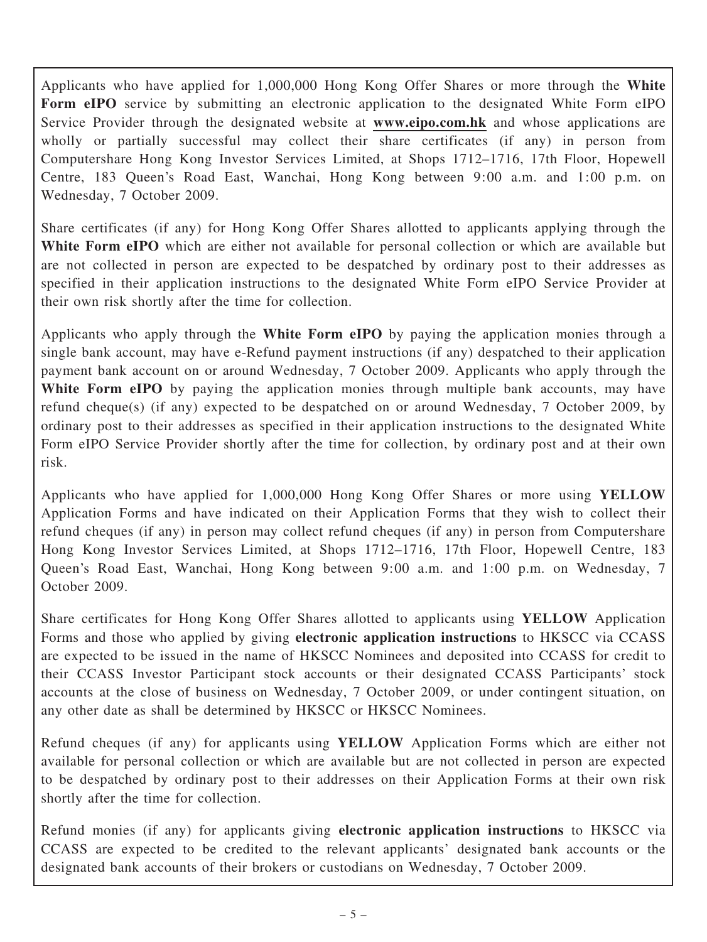Applicants who have applied for 1,000,000 Hong Kong Offer Shares or more through the White Form eIPO service by submitting an electronic application to the designated White Form eIPO Service Provider through the designated website at **www.eipo.com.hk** and whose applications are wholly or partially successful may collect their share certificates (if any) in person from Computershare Hong Kong Investor Services Limited, at Shops 1712–1716, 17th Floor, Hopewell Centre, 183 Queen's Road East, Wanchai, Hong Kong between 9:00 a.m. and 1:00 p.m. on Wednesday, 7 October 2009.

Share certificates (if any) for Hong Kong Offer Shares allotted to applicants applying through the White Form eIPO which are either not available for personal collection or which are available but are not collected in person are expected to be despatched by ordinary post to their addresses as specified in their application instructions to the designated White Form eIPO Service Provider at their own risk shortly after the time for collection.

Applicants who apply through the White Form eIPO by paying the application monies through a single bank account, may have e-Refund payment instructions (if any) despatched to their application payment bank account on or around Wednesday, 7 October 2009. Applicants who apply through the White Form eIPO by paying the application monies through multiple bank accounts, may have refund cheque(s) (if any) expected to be despatched on or around Wednesday, 7 October 2009, by ordinary post to their addresses as specified in their application instructions to the designated White Form eIPO Service Provider shortly after the time for collection, by ordinary post and at their own risk.

Applicants who have applied for 1,000,000 Hong Kong Offer Shares or more using YELLOW Application Forms and have indicated on their Application Forms that they wish to collect their refund cheques (if any) in person may collect refund cheques (if any) in person from Computershare Hong Kong Investor Services Limited, at Shops 1712–1716, 17th Floor, Hopewell Centre, 183 Queen's Road East, Wanchai, Hong Kong between 9:00 a.m. and 1:00 p.m. on Wednesday, 7 October 2009.

Share certificates for Hong Kong Offer Shares allotted to applicants using YELLOW Application Forms and those who applied by giving electronic application instructions to HKSCC via CCASS are expected to be issued in the name of HKSCC Nominees and deposited into CCASS for credit to their CCASS Investor Participant stock accounts or their designated CCASS Participants' stock accounts at the close of business on Wednesday, 7 October 2009, or under contingent situation, on any other date as shall be determined by HKSCC or HKSCC Nominees.

Refund cheques (if any) for applicants using YELLOW Application Forms which are either not available for personal collection or which are available but are not collected in person are expected to be despatched by ordinary post to their addresses on their Application Forms at their own risk shortly after the time for collection.

Refund monies (if any) for applicants giving electronic application instructions to HKSCC via CCASS are expected to be credited to the relevant applicants' designated bank accounts or the designated bank accounts of their brokers or custodians on Wednesday, 7 October 2009.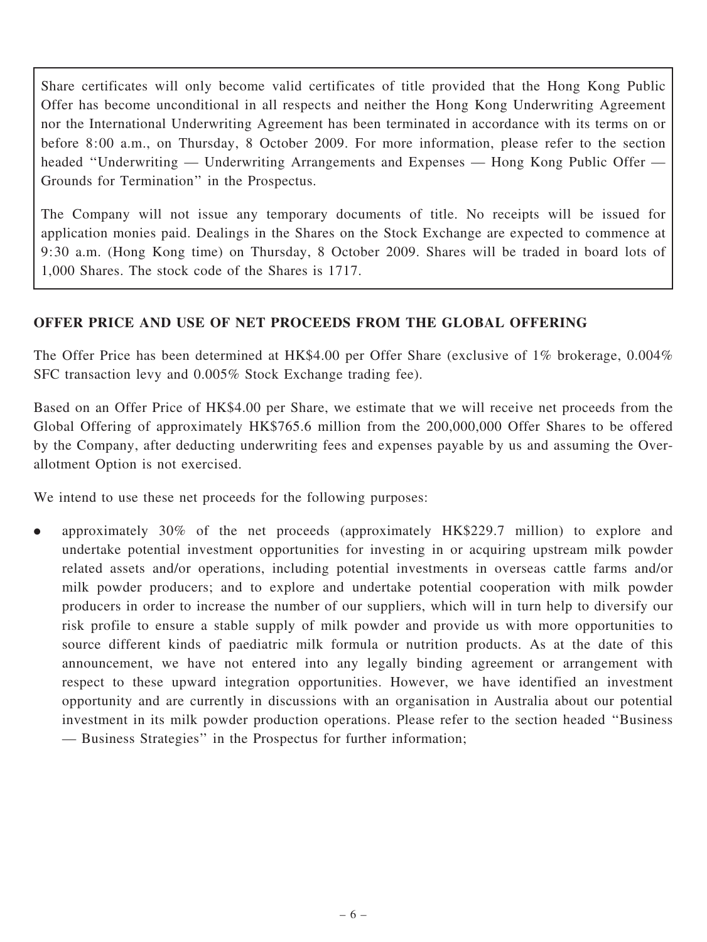Share certificates will only become valid certificates of title provided that the Hong Kong Public Offer has become unconditional in all respects and neither the Hong Kong Underwriting Agreement nor the International Underwriting Agreement has been terminated in accordance with its terms on or before 8:00 a.m., on Thursday, 8 October 2009. For more information, please refer to the section headed ''Underwriting — Underwriting Arrangements and Expenses — Hong Kong Public Offer — Grounds for Termination'' in the Prospectus.

The Company will not issue any temporary documents of title. No receipts will be issued for application monies paid. Dealings in the Shares on the Stock Exchange are expected to commence at 9:30 a.m. (Hong Kong time) on Thursday, 8 October 2009. Shares will be traded in board lots of 1,000 Shares. The stock code of the Shares is 1717.

#### OFFER PRICE AND USE OF NET PROCEEDS FROM THE GLOBAL OFFERING

The Offer Price has been determined at HK\$4.00 per Offer Share (exclusive of 1% brokerage, 0.004% SFC transaction levy and 0.005% Stock Exchange trading fee).

Based on an Offer Price of HK\$4.00 per Share, we estimate that we will receive net proceeds from the Global Offering of approximately HK\$765.6 million from the 200,000,000 Offer Shares to be offered by the Company, after deducting underwriting fees and expenses payable by us and assuming the Overallotment Option is not exercised.

We intend to use these net proceeds for the following purposes:

. approximately 30% of the net proceeds (approximately HK\$229.7 million) to explore and undertake potential investment opportunities for investing in or acquiring upstream milk powder related assets and/or operations, including potential investments in overseas cattle farms and/or milk powder producers; and to explore and undertake potential cooperation with milk powder producers in order to increase the number of our suppliers, which will in turn help to diversify our risk profile to ensure a stable supply of milk powder and provide us with more opportunities to source different kinds of paediatric milk formula or nutrition products. As at the date of this announcement, we have not entered into any legally binding agreement or arrangement with respect to these upward integration opportunities. However, we have identified an investment opportunity and are currently in discussions with an organisation in Australia about our potential investment in its milk powder production operations. Please refer to the section headed ''Business — Business Strategies'' in the Prospectus for further information;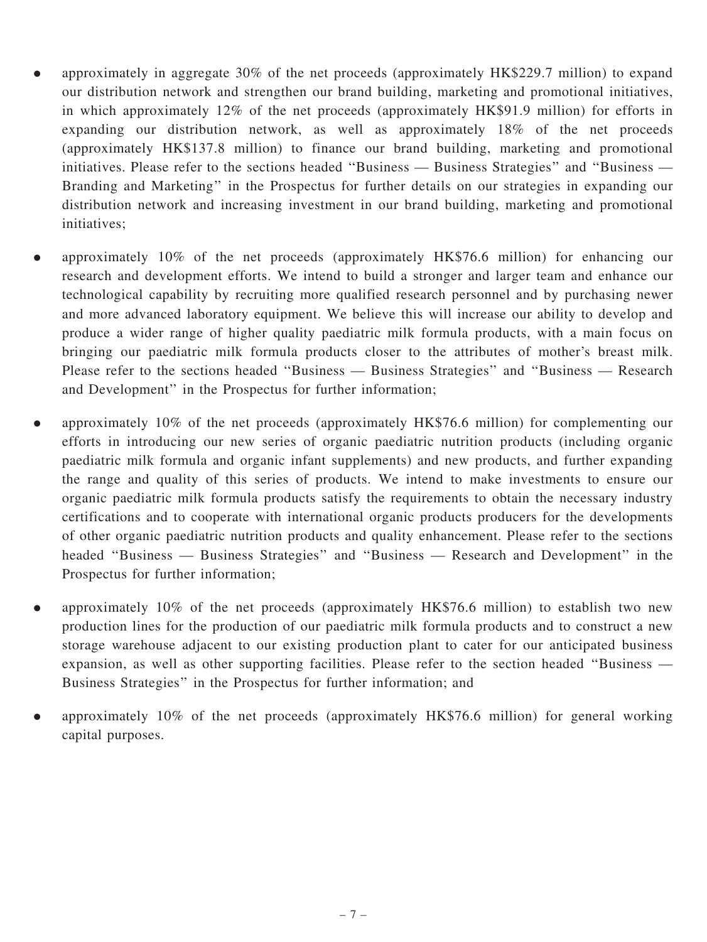- . approximately in aggregate 30% of the net proceeds (approximately HK\$229.7 million) to expand our distribution network and strengthen our brand building, marketing and promotional initiatives, in which approximately 12% of the net proceeds (approximately HK\$91.9 million) for efforts in expanding our distribution network, as well as approximately 18% of the net proceeds (approximately HK\$137.8 million) to finance our brand building, marketing and promotional initiatives. Please refer to the sections headed ''Business — Business Strategies'' and ''Business — Branding and Marketing'' in the Prospectus for further details on our strategies in expanding our distribution network and increasing investment in our brand building, marketing and promotional initiatives;
- . approximately 10% of the net proceeds (approximately HK\$76.6 million) for enhancing our research and development efforts. We intend to build a stronger and larger team and enhance our technological capability by recruiting more qualified research personnel and by purchasing newer and more advanced laboratory equipment. We believe this will increase our ability to develop and produce a wider range of higher quality paediatric milk formula products, with a main focus on bringing our paediatric milk formula products closer to the attributes of mother's breast milk. Please refer to the sections headed ''Business — Business Strategies'' and ''Business — Research and Development'' in the Prospectus for further information;
- . approximately 10% of the net proceeds (approximately HK\$76.6 million) for complementing our efforts in introducing our new series of organic paediatric nutrition products (including organic paediatric milk formula and organic infant supplements) and new products, and further expanding the range and quality of this series of products. We intend to make investments to ensure our organic paediatric milk formula products satisfy the requirements to obtain the necessary industry certifications and to cooperate with international organic products producers for the developments of other organic paediatric nutrition products and quality enhancement. Please refer to the sections headed ''Business — Business Strategies'' and ''Business — Research and Development'' in the Prospectus for further information;
- . approximately 10% of the net proceeds (approximately HK\$76.6 million) to establish two new production lines for the production of our paediatric milk formula products and to construct a new storage warehouse adjacent to our existing production plant to cater for our anticipated business expansion, as well as other supporting facilities. Please refer to the section headed ''Business — Business Strategies'' in the Prospectus for further information; and
- . approximately 10% of the net proceeds (approximately HK\$76.6 million) for general working capital purposes.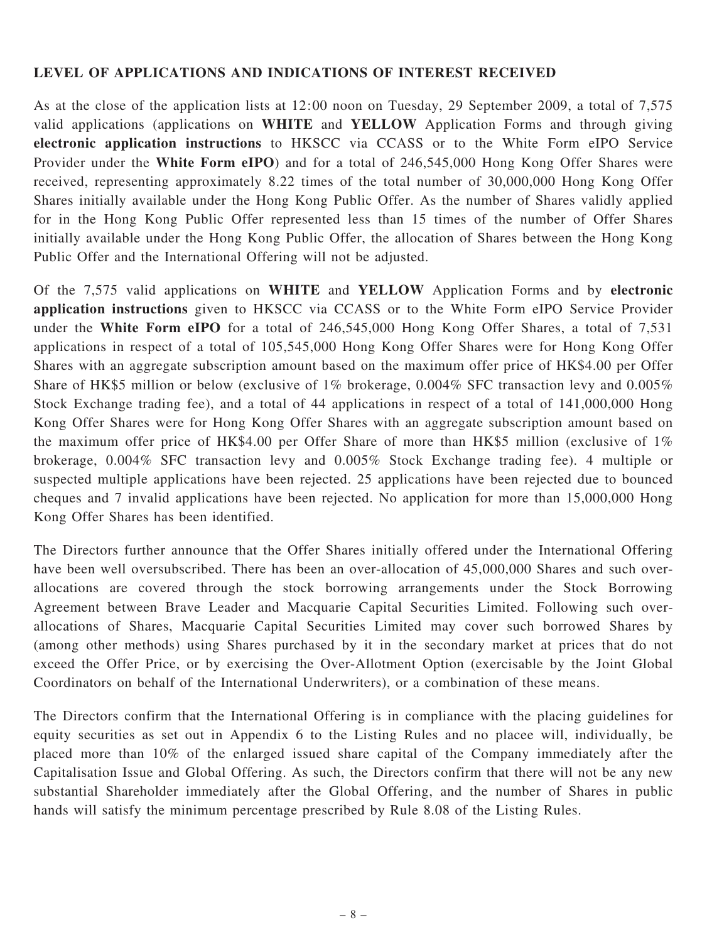#### LEVEL OF APPLICATIONS AND INDICATIONS OF INTEREST RECEIVED

As at the close of the application lists at 12:00 noon on Tuesday, 29 September 2009, a total of 7,575 valid applications (applications on WHITE and YELLOW Application Forms and through giving electronic application instructions to HKSCC via CCASS or to the White Form eIPO Service Provider under the White Form eIPO) and for a total of 246,545,000 Hong Kong Offer Shares were received, representing approximately 8.22 times of the total number of 30,000,000 Hong Kong Offer Shares initially available under the Hong Kong Public Offer. As the number of Shares validly applied for in the Hong Kong Public Offer represented less than 15 times of the number of Offer Shares initially available under the Hong Kong Public Offer, the allocation of Shares between the Hong Kong Public Offer and the International Offering will not be adjusted.

Of the 7,575 valid applications on WHITE and YELLOW Application Forms and by electronic application instructions given to HKSCC via CCASS or to the White Form eIPO Service Provider under the White Form eIPO for a total of 246,545,000 Hong Kong Offer Shares, a total of 7,531 applications in respect of a total of 105,545,000 Hong Kong Offer Shares were for Hong Kong Offer Shares with an aggregate subscription amount based on the maximum offer price of HK\$4.00 per Offer Share of HK\$5 million or below (exclusive of 1% brokerage, 0.004% SFC transaction levy and 0.005% Stock Exchange trading fee), and a total of 44 applications in respect of a total of 141,000,000 Hong Kong Offer Shares were for Hong Kong Offer Shares with an aggregate subscription amount based on the maximum offer price of HK\$4.00 per Offer Share of more than HK\$5 million (exclusive of 1% brokerage, 0.004% SFC transaction levy and 0.005% Stock Exchange trading fee). 4 multiple or suspected multiple applications have been rejected. 25 applications have been rejected due to bounced cheques and 7 invalid applications have been rejected. No application for more than 15,000,000 Hong Kong Offer Shares has been identified.

The Directors further announce that the Offer Shares initially offered under the International Offering have been well oversubscribed. There has been an over-allocation of 45,000,000 Shares and such overallocations are covered through the stock borrowing arrangements under the Stock Borrowing Agreement between Brave Leader and Macquarie Capital Securities Limited. Following such overallocations of Shares, Macquarie Capital Securities Limited may cover such borrowed Shares by (among other methods) using Shares purchased by it in the secondary market at prices that do not exceed the Offer Price, or by exercising the Over-Allotment Option (exercisable by the Joint Global Coordinators on behalf of the International Underwriters), or a combination of these means.

The Directors confirm that the International Offering is in compliance with the placing guidelines for equity securities as set out in Appendix 6 to the Listing Rules and no placee will, individually, be placed more than 10% of the enlarged issued share capital of the Company immediately after the Capitalisation Issue and Global Offering. As such, the Directors confirm that there will not be any new substantial Shareholder immediately after the Global Offering, and the number of Shares in public hands will satisfy the minimum percentage prescribed by Rule 8.08 of the Listing Rules.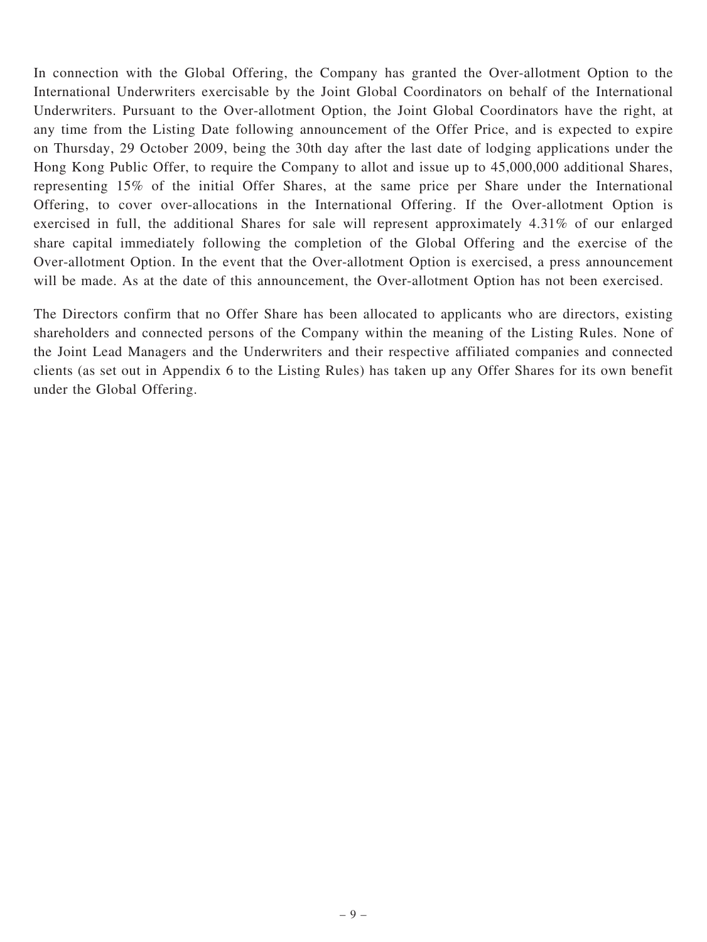In connection with the Global Offering, the Company has granted the Over-allotment Option to the International Underwriters exercisable by the Joint Global Coordinators on behalf of the International Underwriters. Pursuant to the Over-allotment Option, the Joint Global Coordinators have the right, at any time from the Listing Date following announcement of the Offer Price, and is expected to expire on Thursday, 29 October 2009, being the 30th day after the last date of lodging applications under the Hong Kong Public Offer, to require the Company to allot and issue up to 45,000,000 additional Shares, representing 15% of the initial Offer Shares, at the same price per Share under the International Offering, to cover over-allocations in the International Offering. If the Over-allotment Option is exercised in full, the additional Shares for sale will represent approximately 4.31% of our enlarged share capital immediately following the completion of the Global Offering and the exercise of the Over-allotment Option. In the event that the Over-allotment Option is exercised, a press announcement will be made. As at the date of this announcement, the Over-allotment Option has not been exercised.

The Directors confirm that no Offer Share has been allocated to applicants who are directors, existing shareholders and connected persons of the Company within the meaning of the Listing Rules. None of the Joint Lead Managers and the Underwriters and their respective affiliated companies and connected clients (as set out in Appendix 6 to the Listing Rules) has taken up any Offer Shares for its own benefit under the Global Offering.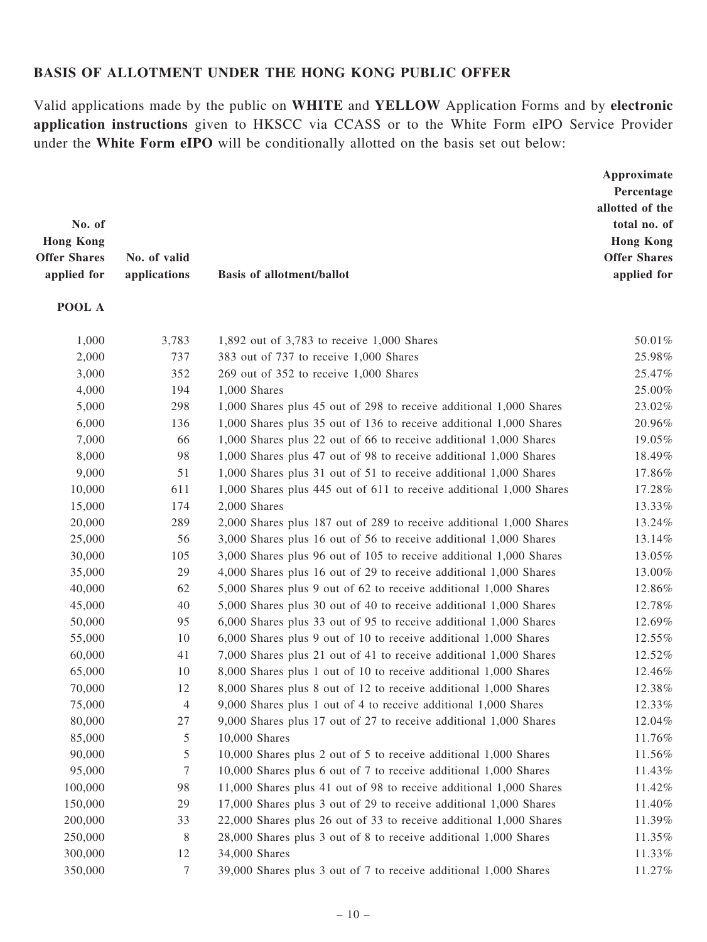#### BASIS OF ALLOTMENT UNDER THE HONG KONG PUBLIC OFFER

Valid applications made by the public on WHITE and YELLOW Application Forms and by electronic application instructions given to HKSCC via CCASS or to the White Form eIPO Service Provider under the White Form eIPO will be conditionally allotted on the basis set out below:

| No. of<br><b>Hong Kong</b><br><b>Offer Shares</b><br>applied for | No. of valid<br>applications | <b>Basis of allotment/ballot</b>                                    | Approximate<br>Percentage<br>allotted of the<br>total no. of<br><b>Hong Kong</b><br><b>Offer Shares</b><br>applied for |
|------------------------------------------------------------------|------------------------------|---------------------------------------------------------------------|------------------------------------------------------------------------------------------------------------------------|
| POOL A                                                           |                              |                                                                     |                                                                                                                        |
| 1,000                                                            | 3,783                        | 1,892 out of 3,783 to receive 1,000 Shares                          | 50.01%                                                                                                                 |
| 2,000                                                            | 737                          | 383 out of 737 to receive 1,000 Shares                              | 25.98%                                                                                                                 |
| 3,000                                                            | 352                          | 269 out of 352 to receive 1,000 Shares                              | 25.47%                                                                                                                 |
| 4,000                                                            | 194                          | 1,000 Shares                                                        | 25.00%                                                                                                                 |
| 5,000                                                            | 298                          | 1,000 Shares plus 45 out of 298 to receive additional 1,000 Shares  | 23.02%                                                                                                                 |
| 6,000                                                            | 136                          | 1,000 Shares plus 35 out of 136 to receive additional 1,000 Shares  | 20.96%                                                                                                                 |
| 7,000                                                            | 66                           | 1,000 Shares plus 22 out of 66 to receive additional 1,000 Shares   | 19.05%                                                                                                                 |
| 8,000                                                            | 98                           | 1,000 Shares plus 47 out of 98 to receive additional 1,000 Shares   | 18.49%                                                                                                                 |
| 9,000                                                            | 51                           | 1,000 Shares plus 31 out of 51 to receive additional 1,000 Shares   | 17.86%                                                                                                                 |
| 10,000                                                           | 611                          | 1,000 Shares plus 445 out of 611 to receive additional 1,000 Shares | 17.28%                                                                                                                 |
| 15,000                                                           | 174                          | 2,000 Shares                                                        | 13.33%                                                                                                                 |
| 20,000                                                           | 289                          | 2,000 Shares plus 187 out of 289 to receive additional 1,000 Shares | 13.24%                                                                                                                 |
| 25,000                                                           | 56                           | 3,000 Shares plus 16 out of 56 to receive additional 1,000 Shares   | 13.14%                                                                                                                 |
| 30,000                                                           | 105                          | 3,000 Shares plus 96 out of 105 to receive additional 1,000 Shares  | 13.05%                                                                                                                 |
| 35,000                                                           | 29                           | 4,000 Shares plus 16 out of 29 to receive additional 1,000 Shares   | 13.00%                                                                                                                 |
| 40,000                                                           | 62                           | 5,000 Shares plus 9 out of 62 to receive additional 1,000 Shares    | 12.86%                                                                                                                 |
| 45,000                                                           | 40                           | 5,000 Shares plus 30 out of 40 to receive additional 1,000 Shares   | 12.78%                                                                                                                 |
| 50,000                                                           | 95                           | 6,000 Shares plus 33 out of 95 to receive additional 1,000 Shares   | 12.69%                                                                                                                 |
| 55,000                                                           | 10                           | 6,000 Shares plus 9 out of 10 to receive additional 1,000 Shares    | 12.55%                                                                                                                 |
| 60,000                                                           | 41                           | 7,000 Shares plus 21 out of 41 to receive additional 1,000 Shares   | 12.52%                                                                                                                 |
| 65,000                                                           | 10                           | 8,000 Shares plus 1 out of 10 to receive additional 1,000 Shares    | 12.46%                                                                                                                 |
| 70,000                                                           | 12                           | 8,000 Shares plus 8 out of 12 to receive additional 1,000 Shares    | 12.38%                                                                                                                 |
| 75,000                                                           | $\overline{4}$               | 9,000 Shares plus 1 out of 4 to receive additional 1,000 Shares     | 12.33%                                                                                                                 |
| 80,000                                                           | 27                           | 9,000 Shares plus 17 out of 27 to receive additional 1,000 Shares   | 12.04%                                                                                                                 |
| 85,000                                                           | 5                            | 10,000 Shares                                                       | 11.76%                                                                                                                 |
| 90,000                                                           | 5                            | 10,000 Shares plus 2 out of 5 to receive additional 1,000 Shares    | 11.56%                                                                                                                 |
| 95,000                                                           | $\tau$                       | 10,000 Shares plus 6 out of 7 to receive additional 1,000 Shares    | 11.43%                                                                                                                 |
| 100,000                                                          | 98                           | 11,000 Shares plus 41 out of 98 to receive additional 1,000 Shares  | 11.42%                                                                                                                 |
| 150,000                                                          | 29                           | 17,000 Shares plus 3 out of 29 to receive additional 1,000 Shares   | 11.40%                                                                                                                 |
| 200,000                                                          | 33                           | 22,000 Shares plus 26 out of 33 to receive additional 1,000 Shares  | 11.39%                                                                                                                 |
| 250,000                                                          | 8                            | 28,000 Shares plus 3 out of 8 to receive additional 1,000 Shares    | 11.35%                                                                                                                 |
| 300,000                                                          | 12                           | 34,000 Shares                                                       | 11.33%                                                                                                                 |
| 350,000                                                          | $\tau$                       | 39,000 Shares plus 3 out of 7 to receive additional 1,000 Shares    | 11.27%                                                                                                                 |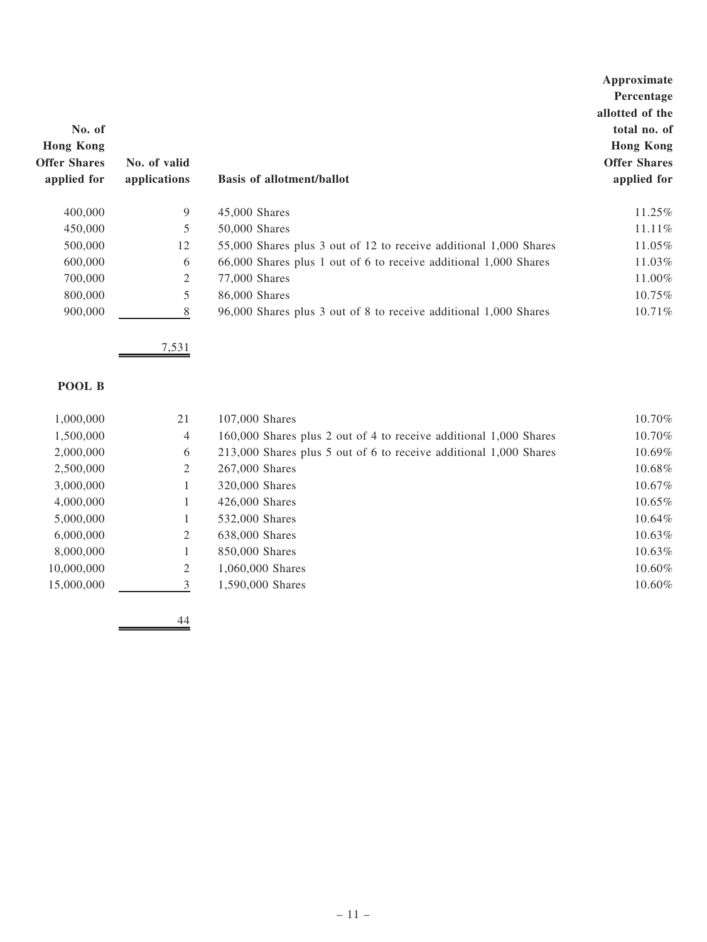|                     |              |                                                                   | Approximate         |
|---------------------|--------------|-------------------------------------------------------------------|---------------------|
|                     |              |                                                                   | Percentage          |
|                     |              |                                                                   | allotted of the     |
| No. of              |              |                                                                   | total no. of        |
| <b>Hong Kong</b>    |              |                                                                   | <b>Hong Kong</b>    |
| <b>Offer Shares</b> | No. of valid |                                                                   | <b>Offer Shares</b> |
| applied for         | applications | <b>Basis of allotment/ballot</b>                                  | applied for         |
| 400,000             | 9            | $45,000$ Shares                                                   | 11.25%              |
| 450,000             | 5            | 50,000 Shares                                                     | 11.11%              |
| 500,000             | 12           | 55,000 Shares plus 3 out of 12 to receive additional 1,000 Shares | 11.05%              |
| 600,000             | 6            | 66,000 Shares plus 1 out of 6 to receive additional 1,000 Shares  | 11.03%              |
| 700,000             | 2            | 77,000 Shares                                                     | 11.00%              |
| 800,000             | 5            | 86,000 Shares                                                     | 10.75%              |
| 900,000             | 8            | 96,000 Shares plus 3 out of 8 to receive additional 1,000 Shares  | 10.71%              |

7,531

#### POOL B

| 1,000,000  | 21 | 107,000 Shares                                                    | 10.70%    |
|------------|----|-------------------------------------------------------------------|-----------|
| 1,500,000  | 4  | 160,000 Shares plus 2 out of 4 to receive additional 1,000 Shares | 10.70%    |
| 2,000,000  | 6  | 213,000 Shares plus 5 out of 6 to receive additional 1,000 Shares | 10.69%    |
| 2,500,000  | 2  | 267,000 Shares                                                    | 10.68%    |
| 3,000,000  |    | 320,000 Shares                                                    | $10.67\%$ |
| 4,000,000  |    | 426,000 Shares                                                    | 10.65%    |
| 5,000,000  | 1  | 532,000 Shares                                                    | $10.64\%$ |
| 6.000.000  | 2  | 638,000 Shares                                                    | $10.63\%$ |
| 8,000,000  | 1  | 850,000 Shares                                                    | 10.63%    |
| 10,000,000 | 2  | 1,060,000 Shares                                                  | 10.60%    |
| 15,000,000 | 3  | 1,590,000 Shares                                                  | 10.60%    |
|            |    |                                                                   |           |

 $\frac{44}{1}$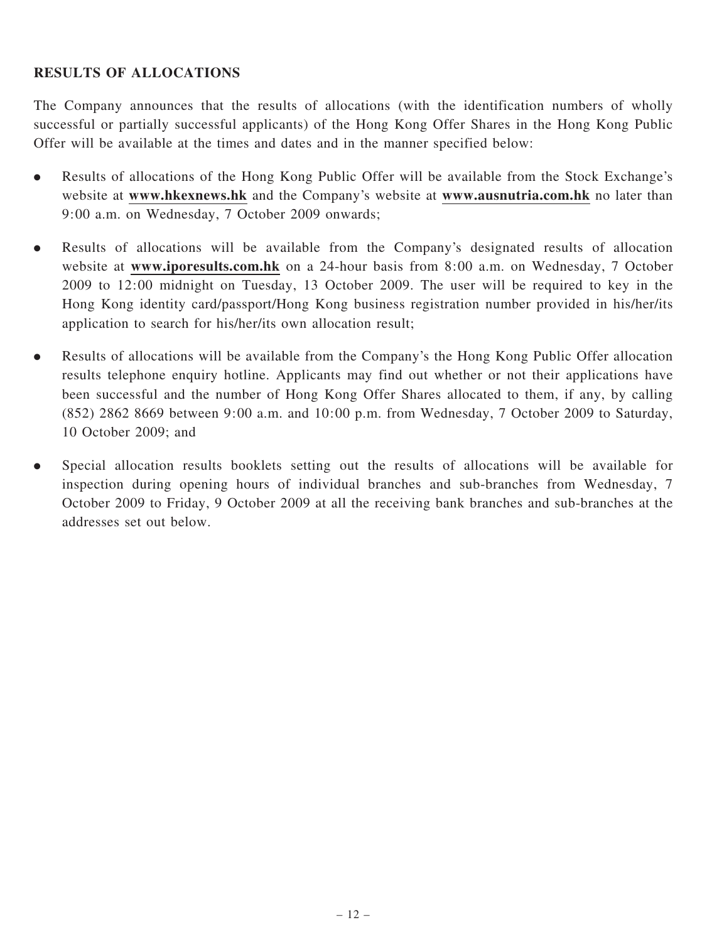### RESULTS OF ALLOCATIONS

The Company announces that the results of allocations (with the identification numbers of wholly successful or partially successful applicants) of the Hong Kong Offer Shares in the Hong Kong Public Offer will be available at the times and dates and in the manner specified below:

- . Results of allocations of the Hong Kong Public Offer will be available from the Stock Exchange's website at www.hkexnews.hk and the Company's website at www.ausnutria.com.hk no later than 9:00 a.m. on Wednesday, 7 October 2009 onwards;
- . Results of allocations will be available from the Company's designated results of allocation website at www.iporesults.com.hk on a 24-hour basis from 8:00 a.m. on Wednesday, 7 October 2009 to 12:00 midnight on Tuesday, 13 October 2009. The user will be required to key in the Hong Kong identity card/passport/Hong Kong business registration number provided in his/her/its application to search for his/her/its own allocation result;
- . Results of allocations will be available from the Company's the Hong Kong Public Offer allocation results telephone enquiry hotline. Applicants may find out whether or not their applications have been successful and the number of Hong Kong Offer Shares allocated to them, if any, by calling (852) 2862 8669 between 9:00 a.m. and 10:00 p.m. from Wednesday, 7 October 2009 to Saturday, 10 October 2009; and
- . Special allocation results booklets setting out the results of allocations will be available for inspection during opening hours of individual branches and sub-branches from Wednesday, 7 October 2009 to Friday, 9 October 2009 at all the receiving bank branches and sub-branches at the addresses set out below.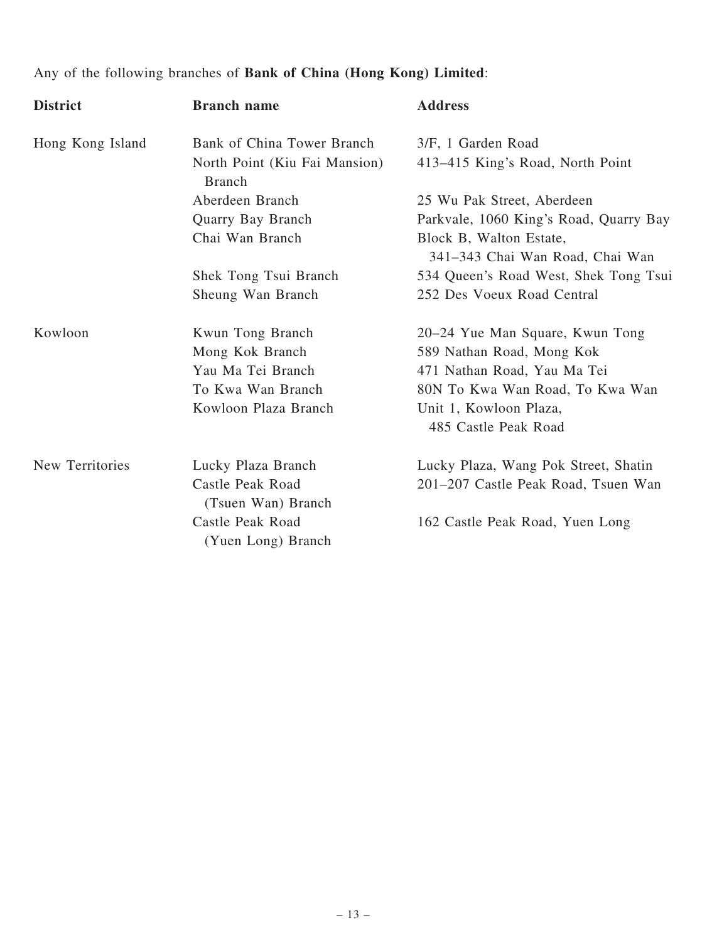# Any of the following branches of Bank of China (Hong Kong) Limited:

| <b>District</b>  | <b>Branch name</b>                             | <b>Address</b>                                             |
|------------------|------------------------------------------------|------------------------------------------------------------|
| Hong Kong Island | Bank of China Tower Branch                     | 3/F, 1 Garden Road                                         |
|                  | North Point (Kiu Fai Mansion)<br><b>Branch</b> | 413-415 King's Road, North Point                           |
|                  | Aberdeen Branch                                | 25 Wu Pak Street, Aberdeen                                 |
|                  | Quarry Bay Branch                              | Parkvale, 1060 King's Road, Quarry Bay                     |
|                  | Chai Wan Branch                                | Block B, Walton Estate,<br>341-343 Chai Wan Road, Chai Wan |
|                  | Shek Tong Tsui Branch                          | 534 Queen's Road West, Shek Tong Tsui                      |
|                  | Sheung Wan Branch                              | 252 Des Voeux Road Central                                 |
| Kowloon          | Kwun Tong Branch                               | 20–24 Yue Man Square, Kwun Tong                            |
|                  | Mong Kok Branch                                | 589 Nathan Road, Mong Kok                                  |
|                  | Yau Ma Tei Branch                              | 471 Nathan Road, Yau Ma Tei                                |
|                  | To Kwa Wan Branch                              | 80N To Kwa Wan Road, To Kwa Wan                            |
|                  | Kowloon Plaza Branch                           | Unit 1, Kowloon Plaza,                                     |
|                  |                                                | 485 Castle Peak Road                                       |
| New Territories  | Lucky Plaza Branch                             | Lucky Plaza, Wang Pok Street, Shatin                       |
|                  | Castle Peak Road<br>(Tsuen Wan) Branch         | 201-207 Castle Peak Road, Tsuen Wan                        |
|                  | Castle Peak Road                               | 162 Castle Peak Road, Yuen Long                            |
|                  | (Yuen Long) Branch                             |                                                            |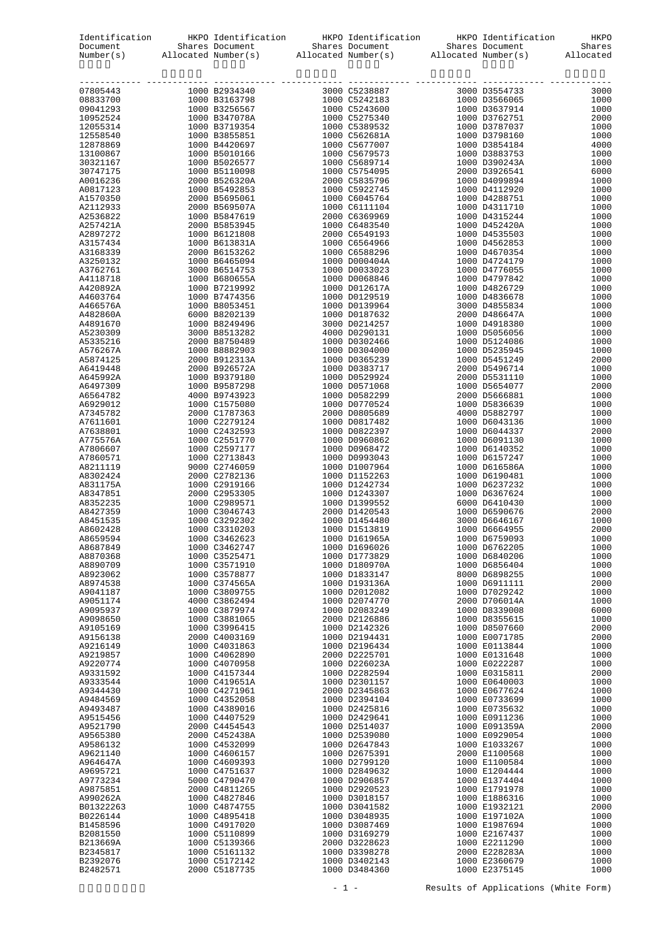| Identification<br>Document |                                                                                                                                                                                                                                                                                                                      | tion HKPO Identification HKPO Identification HKPO Identification HKPO Shares Document Shares Allocated Number(s) Allocated Number(s) Allocated Number(s) and Allocated Number(s) and Allocated Number(s) and Allocated Number( |                                |              |
|----------------------------|----------------------------------------------------------------------------------------------------------------------------------------------------------------------------------------------------------------------------------------------------------------------------------------------------------------------|--------------------------------------------------------------------------------------------------------------------------------------------------------------------------------------------------------------------------------|--------------------------------|--------------|
| Number(s)                  |                                                                                                                                                                                                                                                                                                                      |                                                                                                                                                                                                                                |                                |              |
|                            |                                                                                                                                                                                                                                                                                                                      |                                                                                                                                                                                                                                |                                |              |
| 07805443                   |                                                                                                                                                                                                                                                                                                                      |                                                                                                                                                                                                                                |                                | 3000         |
| 08833700                   |                                                                                                                                                                                                                                                                                                                      |                                                                                                                                                                                                                                |                                | 1000         |
| 09041293                   |                                                                                                                                                                                                                                                                                                                      |                                                                                                                                                                                                                                |                                | 1000         |
| 10952524<br>12055314       |                                                                                                                                                                                                                                                                                                                      |                                                                                                                                                                                                                                |                                | 2000<br>1000 |
| 12558540                   |                                                                                                                                                                                                                                                                                                                      |                                                                                                                                                                                                                                |                                | 1000         |
| 12878869                   |                                                                                                                                                                                                                                                                                                                      |                                                                                                                                                                                                                                |                                | 4000         |
| 13100867                   |                                                                                                                                                                                                                                                                                                                      |                                                                                                                                                                                                                                |                                | 1000         |
| 30321167                   |                                                                                                                                                                                                                                                                                                                      |                                                                                                                                                                                                                                |                                | 1000         |
| 30747175                   |                                                                                                                                                                                                                                                                                                                      |                                                                                                                                                                                                                                |                                | 6000         |
| A0016236                   |                                                                                                                                                                                                                                                                                                                      |                                                                                                                                                                                                                                |                                | 1000         |
| A0817123                   |                                                                                                                                                                                                                                                                                                                      |                                                                                                                                                                                                                                |                                | 1000         |
| A1570350                   |                                                                                                                                                                                                                                                                                                                      |                                                                                                                                                                                                                                |                                | 1000         |
| A2112933                   |                                                                                                                                                                                                                                                                                                                      |                                                                                                                                                                                                                                |                                | 1000         |
| A2536822<br>A257421A       |                                                                                                                                                                                                                                                                                                                      |                                                                                                                                                                                                                                |                                | 1000<br>1000 |
| A2897272                   |                                                                                                                                                                                                                                                                                                                      |                                                                                                                                                                                                                                |                                | 1000         |
| A3157434                   |                                                                                                                                                                                                                                                                                                                      |                                                                                                                                                                                                                                |                                | 1000         |
| A3168339                   |                                                                                                                                                                                                                                                                                                                      |                                                                                                                                                                                                                                |                                | 1000         |
| A3250132                   |                                                                                                                                                                                                                                                                                                                      |                                                                                                                                                                                                                                |                                | 1000         |
| A3762761                   |                                                                                                                                                                                                                                                                                                                      |                                                                                                                                                                                                                                |                                | 1000         |
| A4118718                   |                                                                                                                                                                                                                                                                                                                      |                                                                                                                                                                                                                                |                                | 1000         |
| A420892A                   |                                                                                                                                                                                                                                                                                                                      |                                                                                                                                                                                                                                |                                | 1000         |
| A4603764                   |                                                                                                                                                                                                                                                                                                                      |                                                                                                                                                                                                                                |                                | 1000         |
| A466576A                   |                                                                                                                                                                                                                                                                                                                      |                                                                                                                                                                                                                                |                                | 1000         |
| A482860A                   |                                                                                                                                                                                                                                                                                                                      |                                                                                                                                                                                                                                |                                | 1000         |
| A4891670<br>A5230309       |                                                                                                                                                                                                                                                                                                                      |                                                                                                                                                                                                                                |                                | 1000<br>1000 |
| A5335216                   |                                                                                                                                                                                                                                                                                                                      |                                                                                                                                                                                                                                |                                | 1000         |
| A576267A                   |                                                                                                                                                                                                                                                                                                                      |                                                                                                                                                                                                                                |                                | 1000         |
| A5874125                   |                                                                                                                                                                                                                                                                                                                      |                                                                                                                                                                                                                                |                                | 2000         |
| A6419448                   |                                                                                                                                                                                                                                                                                                                      |                                                                                                                                                                                                                                |                                | 1000         |
| A645992A                   |                                                                                                                                                                                                                                                                                                                      |                                                                                                                                                                                                                                |                                | 1000         |
| A6497309                   |                                                                                                                                                                                                                                                                                                                      |                                                                                                                                                                                                                                |                                | 2000         |
| A6564782                   |                                                                                                                                                                                                                                                                                                                      |                                                                                                                                                                                                                                |                                | 1000         |
| A6929012                   |                                                                                                                                                                                                                                                                                                                      |                                                                                                                                                                                                                                |                                | 1000         |
| A7345782                   |                                                                                                                                                                                                                                                                                                                      |                                                                                                                                                                                                                                |                                | 1000         |
| A7611601<br>A7638801       |                                                                                                                                                                                                                                                                                                                      |                                                                                                                                                                                                                                |                                | 1000<br>2000 |
| A775576A                   |                                                                                                                                                                                                                                                                                                                      |                                                                                                                                                                                                                                |                                | 1000         |
| A7806607                   |                                                                                                                                                                                                                                                                                                                      |                                                                                                                                                                                                                                |                                | 1000         |
| A7860571                   |                                                                                                                                                                                                                                                                                                                      |                                                                                                                                                                                                                                |                                | 1000         |
| A8211119                   | $\begin{array}{c} 1000 \ \text{C1575080} \\ 2000 \ \text{C1787363} \\ 1000 \ \text{C2279124} \\ 1000 \ \text{C2232593} \\ 1000 \ \text{C2551770} \\ 1000 \ \text{C2597177} \\ 1000 \ \text{C2713843} \\ 9000 \ \text{C2746059} \\ 2000 \ \text{C2782136} \\ 1000 \ \text{C2919166} \\ 2000 \ \text{C2953305} \\ 100$ |                                                                                                                                                                                                                                |                                | 1000         |
| A8302424                   |                                                                                                                                                                                                                                                                                                                      |                                                                                                                                                                                                                                |                                | 1000         |
| A831175A                   |                                                                                                                                                                                                                                                                                                                      |                                                                                                                                                                                                                                |                                | 1000         |
| A8347851                   |                                                                                                                                                                                                                                                                                                                      |                                                                                                                                                                                                                                |                                | 1000         |
| A8352235                   |                                                                                                                                                                                                                                                                                                                      |                                                                                                                                                                                                                                |                                | 1000         |
| A8427359<br>A8451535       |                                                                                                                                                                                                                                                                                                                      |                                                                                                                                                                                                                                |                                | 2000<br>1000 |
| A8602428                   | 1000 C3310203                                                                                                                                                                                                                                                                                                        |                                                                                                                                                                                                                                |                                | 2000         |
| A8659594                   | 1000 C3462623                                                                                                                                                                                                                                                                                                        | 1000 D161965A                                                                                                                                                                                                                  | 1000 D6759093                  | 1000         |
| A8687849                   | 1000 C3462747                                                                                                                                                                                                                                                                                                        | 1000 D1696026                                                                                                                                                                                                                  | 1000 D6762205                  | 1000         |
| A8870368                   | 1000 C3525471                                                                                                                                                                                                                                                                                                        | 1000 D1773829                                                                                                                                                                                                                  | 1000 D6840206                  | 1000         |
| A8890709                   | 1000 C3571910                                                                                                                                                                                                                                                                                                        | 1000 D180970A                                                                                                                                                                                                                  | 1000 D6856404                  | 1000         |
| A8923062                   | 1000 C3578877                                                                                                                                                                                                                                                                                                        | 1000 D1833147                                                                                                                                                                                                                  | 8000 D6898255                  | 1000         |
| A8974538                   | 1000 C374565A                                                                                                                                                                                                                                                                                                        | 1000 D193136A                                                                                                                                                                                                                  | 1000 D6911111                  | 2000         |
| A9041187                   | 1000 C3809755                                                                                                                                                                                                                                                                                                        | 1000 D2012082                                                                                                                                                                                                                  | 1000 D7029242<br>2000 D706014A | 1000         |
| A9051174<br>A9095937       | 4000 C3862494<br>1000 C3879974                                                                                                                                                                                                                                                                                       | 1000 D2074770<br>1000 D2083249                                                                                                                                                                                                 | 1000 D8339008                  | 1000<br>6000 |
| A9098650                   | 1000 C3881065                                                                                                                                                                                                                                                                                                        | 2000 D2126886                                                                                                                                                                                                                  | 1000 D8355615                  | 1000         |
| A9105169                   | 1000 C3996415                                                                                                                                                                                                                                                                                                        | 1000 D2142326                                                                                                                                                                                                                  | 1000 D8507660                  | 2000         |
| A9156138                   | 2000 C4003169                                                                                                                                                                                                                                                                                                        | 1000 D2194431                                                                                                                                                                                                                  | 1000 E0071785                  | 2000         |
| A9216149                   | 1000 C4031863                                                                                                                                                                                                                                                                                                        | 1000 D2196434                                                                                                                                                                                                                  | 1000 E0113844                  | 1000         |
| A9219857                   | 1000 C4062890                                                                                                                                                                                                                                                                                                        | 2000 D2225701                                                                                                                                                                                                                  | 1000 E0131648                  | 1000         |
| A9220774                   | 1000 C4070958                                                                                                                                                                                                                                                                                                        | 1000 D226023A                                                                                                                                                                                                                  | 1000 E0222287                  | 1000         |
| A9331592                   | 1000 C4157344                                                                                                                                                                                                                                                                                                        | 1000 D2282594                                                                                                                                                                                                                  | 1000 E0315811                  | 2000         |
| A9333544                   | 1000 C419651A                                                                                                                                                                                                                                                                                                        | 1000 D2301157                                                                                                                                                                                                                  | 1000 E0640003                  | 1000         |
| A9344430                   | 1000 C4271961                                                                                                                                                                                                                                                                                                        | 2000 D2345863                                                                                                                                                                                                                  | 1000 E0677624                  | 1000         |
| A9484569<br>A9493487       | 1000 C4352058<br>1000 C4389016                                                                                                                                                                                                                                                                                       | 1000 D2394104<br>1000 D2425816                                                                                                                                                                                                 | 1000 E0733699<br>1000 E0735632 | 1000<br>1000 |
| A9515456                   | 1000 C4407529                                                                                                                                                                                                                                                                                                        | 1000 D2429641                                                                                                                                                                                                                  | 1000 E0911236                  | 1000         |
| A9521790                   | 2000 C4454543                                                                                                                                                                                                                                                                                                        | 1000 D2514037                                                                                                                                                                                                                  | 1000 E091359A                  | 2000         |
| A9565380                   | 2000 C452438A                                                                                                                                                                                                                                                                                                        | 1000 D2539080                                                                                                                                                                                                                  | 1000 E0929054                  | 1000         |
| A9586132                   | 1000 C4532099                                                                                                                                                                                                                                                                                                        | 1000 D2647843                                                                                                                                                                                                                  | 1000 E1033267                  | 1000         |
| A9621140                   | 1000 C4606157                                                                                                                                                                                                                                                                                                        | 1000 D2675391                                                                                                                                                                                                                  | 2000 E1100568                  | 1000         |
| A964647A                   | 1000 C4609393                                                                                                                                                                                                                                                                                                        | 1000 D2799120                                                                                                                                                                                                                  | 1000 E1100584                  | 1000         |
| A9695721                   | 1000 C4751637                                                                                                                                                                                                                                                                                                        | 1000 D2849632                                                                                                                                                                                                                  | 1000 E1204444                  | 1000         |
| A9773234                   | 5000 C4790470                                                                                                                                                                                                                                                                                                        | 1000 D2906857                                                                                                                                                                                                                  | 1000 E1374404                  | 1000         |
| A9875851<br>A990262A       | 2000 C4811265<br>1000 C4827846                                                                                                                                                                                                                                                                                       | 1000 D2920523<br>1000 D3018157                                                                                                                                                                                                 | 1000 E1791978<br>1000 E1886316 | 1000<br>1000 |
| B01322263                  | 1000 C4874755                                                                                                                                                                                                                                                                                                        | 1000 D3041582                                                                                                                                                                                                                  | 1000 E1932121                  | 2000         |
| B0226144                   | 1000 C4895418                                                                                                                                                                                                                                                                                                        | 1000 D3048935                                                                                                                                                                                                                  | 1000 E197102A                  | 1000         |
| B1458596                   | 1000 C4917020                                                                                                                                                                                                                                                                                                        | 1000 D3087469                                                                                                                                                                                                                  | 1000 E1987694                  | 1000         |
| B2081550                   | 1000 C5110899                                                                                                                                                                                                                                                                                                        | 1000 D3169279                                                                                                                                                                                                                  | 1000 E2167437                  | 1000         |
| B213669A                   | 1000 C5139366                                                                                                                                                                                                                                                                                                        | 2000 D3228623                                                                                                                                                                                                                  | 1000 E2211290                  | 1000         |
| B2345817                   | 1000 C5161132                                                                                                                                                                                                                                                                                                        | 1000 D3398278                                                                                                                                                                                                                  | 2000 E228283A                  | 1000         |
| B2392076                   | 1000 C5172142                                                                                                                                                                                                                                                                                                        | 1000 D3402143                                                                                                                                                                                                                  | 1000 E2360679                  | 1000         |
| B2482571                   | 2000 C5187735                                                                                                                                                                                                                                                                                                        | 1000 D3484360                                                                                                                                                                                                                  | 1000 E2375145                  | 1000         |

- 1 - Results of Applications (White Form)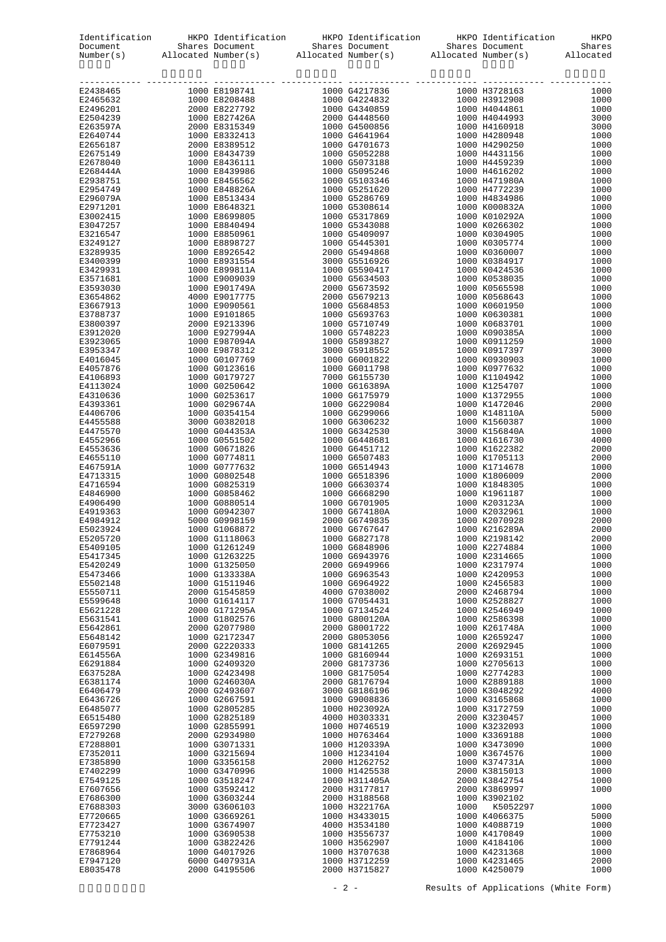| Identification<br>Document |                                                                                                        |                                | tion HKPO Identification HKPO Identification HKPO Identification HKPO Shares Document Shares Document Allocated Number(s) Allocated Number(s) Allocated Number(s) and Allocated Number(s) and Allocated Number(s) and Allocate |                                |              |
|----------------------------|--------------------------------------------------------------------------------------------------------|--------------------------------|--------------------------------------------------------------------------------------------------------------------------------------------------------------------------------------------------------------------------------|--------------------------------|--------------|
| Number(s)                  |                                                                                                        |                                |                                                                                                                                                                                                                                |                                |              |
| E2438465                   |                                                                                                        |                                | ----- ------------                                                                                                                                                                                                             |                                | 1000         |
| E2465632                   |                                                                                                        |                                |                                                                                                                                                                                                                                |                                | 1000         |
| E2496201                   |                                                                                                        |                                |                                                                                                                                                                                                                                |                                | 1000         |
| E2504239                   |                                                                                                        |                                |                                                                                                                                                                                                                                |                                | 3000         |
| E263597A                   |                                                                                                        |                                |                                                                                                                                                                                                                                |                                | 3000         |
| E2640744                   |                                                                                                        |                                |                                                                                                                                                                                                                                |                                | 1000         |
| E2656187                   |                                                                                                        |                                |                                                                                                                                                                                                                                |                                | 1000         |
| E2675149                   |                                                                                                        |                                |                                                                                                                                                                                                                                |                                | 1000         |
| E2678040                   |                                                                                                        |                                |                                                                                                                                                                                                                                |                                | 1000         |
| E268444A                   |                                                                                                        |                                |                                                                                                                                                                                                                                |                                | 1000         |
| E2938751                   |                                                                                                        |                                |                                                                                                                                                                                                                                |                                | 1000         |
| E2954749                   |                                                                                                        |                                |                                                                                                                                                                                                                                |                                | 1000         |
| E296079A                   |                                                                                                        |                                |                                                                                                                                                                                                                                |                                | 1000         |
| E2971201                   |                                                                                                        |                                |                                                                                                                                                                                                                                |                                | 1000         |
| E3002415<br>E3047257       |                                                                                                        |                                |                                                                                                                                                                                                                                |                                | 1000<br>1000 |
| E3216547                   |                                                                                                        |                                |                                                                                                                                                                                                                                |                                | 1000         |
| E3249127                   |                                                                                                        |                                |                                                                                                                                                                                                                                |                                | 1000         |
| E3289935                   |                                                                                                        |                                |                                                                                                                                                                                                                                |                                | 1000         |
| E3400399                   |                                                                                                        |                                |                                                                                                                                                                                                                                |                                | 1000         |
| E3429931                   |                                                                                                        |                                |                                                                                                                                                                                                                                |                                | 1000         |
| E3571681                   |                                                                                                        |                                |                                                                                                                                                                                                                                |                                | 1000         |
| E3593030                   |                                                                                                        |                                |                                                                                                                                                                                                                                |                                | 1000         |
| E3654862                   |                                                                                                        |                                |                                                                                                                                                                                                                                |                                | 1000         |
| E3667913                   |                                                                                                        |                                |                                                                                                                                                                                                                                |                                | 1000         |
| E3788737                   |                                                                                                        |                                |                                                                                                                                                                                                                                |                                | 1000         |
| E3800397                   |                                                                                                        |                                |                                                                                                                                                                                                                                |                                | 1000         |
| E3912020                   |                                                                                                        |                                |                                                                                                                                                                                                                                |                                | 1000         |
| E3923065                   |                                                                                                        |                                |                                                                                                                                                                                                                                |                                | 1000         |
| E3953347                   |                                                                                                        |                                |                                                                                                                                                                                                                                |                                | 3000         |
| E4016045                   |                                                                                                        |                                |                                                                                                                                                                                                                                |                                | 1000         |
| E4057876                   |                                                                                                        |                                |                                                                                                                                                                                                                                |                                | 1000         |
| E4106893                   |                                                                                                        |                                |                                                                                                                                                                                                                                |                                | 1000         |
| E4113024                   |                                                                                                        |                                |                                                                                                                                                                                                                                |                                | 1000         |
| E4310636                   |                                                                                                        |                                |                                                                                                                                                                                                                                |                                | 1000         |
| E4393361<br>E4406706       |                                                                                                        |                                |                                                                                                                                                                                                                                |                                | 2000<br>5000 |
| E4455588                   |                                                                                                        |                                |                                                                                                                                                                                                                                |                                | 1000         |
| E4475570                   |                                                                                                        |                                |                                                                                                                                                                                                                                |                                | 1000         |
| E4552966                   |                                                                                                        |                                |                                                                                                                                                                                                                                |                                | 4000         |
| E4553636                   |                                                                                                        |                                |                                                                                                                                                                                                                                |                                | 2000         |
| E4655110                   |                                                                                                        |                                |                                                                                                                                                                                                                                |                                | 2000         |
| E467591A                   |                                                                                                        |                                |                                                                                                                                                                                                                                |                                | 1000         |
| E4713315                   |                                                                                                        |                                |                                                                                                                                                                                                                                |                                | 2000         |
| E4716594                   |                                                                                                        |                                |                                                                                                                                                                                                                                |                                | 1000         |
| E4846900                   | $1000$ $60858462$<br>$1000$ $60880514$<br>$1000$ $60942307$<br>$5000$ $609980159$<br>$1000$ $61068872$ |                                |                                                                                                                                                                                                                                |                                | 1000         |
| E4906490                   |                                                                                                        |                                |                                                                                                                                                                                                                                |                                | 1000         |
| E4919363                   |                                                                                                        |                                |                                                                                                                                                                                                                                |                                | 1000         |
| E4984912                   |                                                                                                        |                                |                                                                                                                                                                                                                                |                                | 2000         |
| E5023924                   | 1000 G1068872                                                                                          |                                |                                                                                                                                                                                                                                |                                | 2000         |
| E5205720                   |                                                                                                        | 1000 G1118063                  | 1000 G6827178                                                                                                                                                                                                                  | 1000 K2198142                  | 2000         |
| E5409105                   |                                                                                                        | 1000 G1261249                  | 1000 G6848906                                                                                                                                                                                                                  | 1000 K2274884                  | 1000         |
| E5417345                   |                                                                                                        | 1000 G1263225                  | 1000 G6943976                                                                                                                                                                                                                  | 1000 K2314665                  | 1000         |
| E5420249                   |                                                                                                        | 1000 G1325050                  | 2000 G6949966                                                                                                                                                                                                                  | 1000 K2317974                  | 1000         |
| E5473466                   |                                                                                                        | 1000 G133338A                  | 1000 G6963543                                                                                                                                                                                                                  | 1000 K2420953                  | 1000         |
| E5502148                   |                                                                                                        | 1000 G1511946                  | 1000 G6964922                                                                                                                                                                                                                  | 1000 K2456583                  | 1000         |
| E5550711                   |                                                                                                        | 2000 G1545859                  | 4000 G7038002                                                                                                                                                                                                                  | 2000 K2468794                  | 1000         |
| E5599648                   |                                                                                                        | 1000 G1614117<br>2000 G171295A | 1000 G7054431<br>1000 G7134524                                                                                                                                                                                                 | 1000 K2528827<br>1000 K2546949 | 1000         |
| E5621228<br>E5631541       |                                                                                                        | 1000 G1802576                  | 1000 G800120A                                                                                                                                                                                                                  | 1000 K2586398                  | 1000<br>1000 |
| E5642861                   |                                                                                                        | 2000 G2077980                  | 2000 G8001722                                                                                                                                                                                                                  | 1000 K261748A                  | 1000         |
| E5648142                   |                                                                                                        | 1000 G2172347                  | 2000 G8053056                                                                                                                                                                                                                  | 1000 K2659247                  | 1000         |
| E6079591                   |                                                                                                        | 2000 G2220333                  | 1000 G8141265                                                                                                                                                                                                                  | 2000 K2692945                  | 1000         |
| E614556A                   |                                                                                                        | 1000 G2349816                  | 1000 G8160944                                                                                                                                                                                                                  | 1000 K2693151                  | 1000         |
| E6291884                   |                                                                                                        | 1000 G2409320                  | 2000 G8173736                                                                                                                                                                                                                  | 1000 K2705613                  | 1000         |
| E637528A                   |                                                                                                        | 1000 G2423498                  | 1000 G8175054                                                                                                                                                                                                                  | 1000 K2774283                  | 1000         |
| E6381174                   |                                                                                                        | 1000 G246030A                  | 2000 G8176794                                                                                                                                                                                                                  | 1000 K2889188                  | 1000         |
| E6406479                   |                                                                                                        | 2000 G2493607                  | 3000 G8186196                                                                                                                                                                                                                  | 1000 K3048292                  | 4000         |
| E6436726                   |                                                                                                        | 1000 G2667591                  | 1000 G9008836                                                                                                                                                                                                                  | 1000 K3165868                  | 1000         |
| E6485077                   |                                                                                                        | 1000 G2805285                  | 1000 H023092A                                                                                                                                                                                                                  | 1000 K3172759                  | 1000         |
| E6515480                   |                                                                                                        | 1000 G2825189                  | 4000 H0303331                                                                                                                                                                                                                  | 2000 K3230457                  | 1000         |
| E6597290                   |                                                                                                        | 1000 G2855991                  | 1000 H0746519                                                                                                                                                                                                                  | 1000 K3232093                  | 1000         |
| E7279268                   |                                                                                                        | 2000 G2934980                  | 1000 H0763464                                                                                                                                                                                                                  | 1000 K3369188                  | 1000         |
| E7288801                   |                                                                                                        | 1000 G3071331                  | 1000 H120339A                                                                                                                                                                                                                  | 1000 K3473090                  | 1000         |
| E7352011                   |                                                                                                        | 1000 G3215694                  | 1000 H1234104                                                                                                                                                                                                                  | 1000 K3674576                  | 1000         |
| E7385890                   |                                                                                                        | 1000 G3356158                  | 2000 H1262752                                                                                                                                                                                                                  | 1000 K374731A                  | 1000         |
| E7402299                   |                                                                                                        | 1000 G3470996                  | 1000 H1425538                                                                                                                                                                                                                  | 2000 K3815013                  | 1000         |
| E7549125                   |                                                                                                        | 1000 G3518247                  | 1000 H311405A                                                                                                                                                                                                                  | 2000 K3842754                  | 1000         |
| E7607656                   |                                                                                                        | 1000 G3592412                  | 2000 H3177817                                                                                                                                                                                                                  | 2000 K3869997                  | 1000         |
| E7686300                   |                                                                                                        | 1000 G3603244                  | 2000 H3188568                                                                                                                                                                                                                  | 1000 K3902102                  |              |
| E7688303                   |                                                                                                        | 3000 G3606103                  | 1000 H322176A                                                                                                                                                                                                                  | 1000 K5052297                  | 1000         |
| E7720665                   |                                                                                                        | 1000 G3669261                  | 1000 H3433015                                                                                                                                                                                                                  | 1000 K4066375                  | 5000         |
| E7723427                   |                                                                                                        | 1000 G3674907                  | 4000 H3534180                                                                                                                                                                                                                  | 1000 K4088719                  | 1000         |
| E7753210                   |                                                                                                        | 1000 G3690538                  | 1000 H3556737                                                                                                                                                                                                                  | 1000 K4170849                  | 1000         |
| E7791244                   |                                                                                                        | 1000 G3822426                  | 1000 H3562907                                                                                                                                                                                                                  | 1000 K4184106                  | 1000         |
| E7868964                   |                                                                                                        | 1000 G4017926                  | 1000 H3707638                                                                                                                                                                                                                  | 1000 K4231368                  | 1000         |
| E7947120                   |                                                                                                        | 6000 G407931A                  | 1000 H3712259                                                                                                                                                                                                                  | 1000 K4231465                  | 2000         |
| E8035478                   |                                                                                                        | 2000 G4195506                  | 2000 H3715827                                                                                                                                                                                                                  | 1000 K4250079                  | 1000         |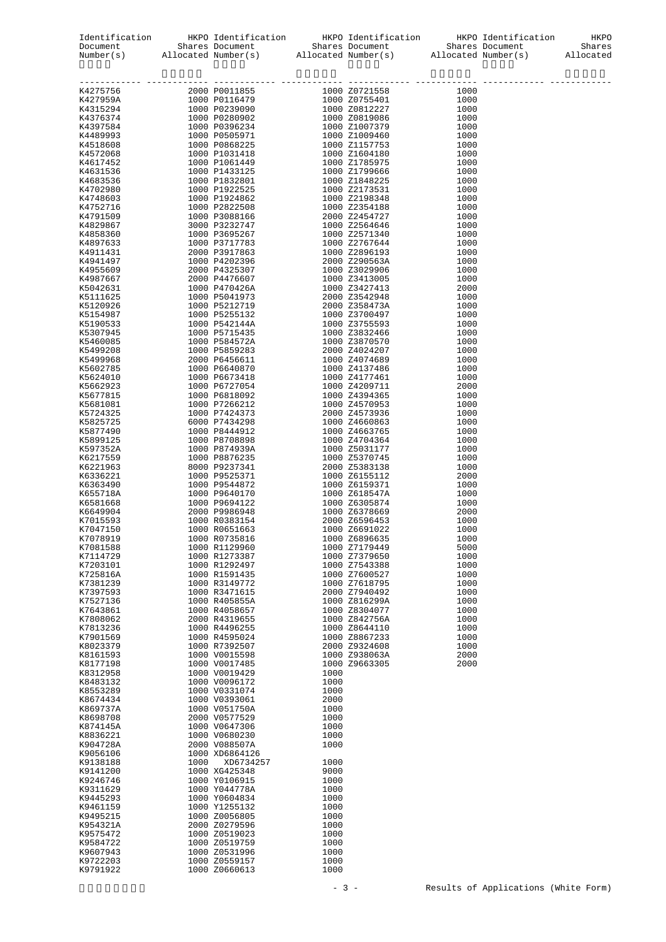|                                                                                                                                                                                                                                                                                        |      |                                |              | $\begin{tabular}{l c c c c c} Identification & HKPO Identification & HKPO Identification & HKPO Identification & HKPODocument & Shares Document & Shares Document & SharesNumber(s) & Allocated Number(s) & Allocated Number(s) & Allocated Number(s) & & & & & & \\ \end{tabular}$ |              |  |
|----------------------------------------------------------------------------------------------------------------------------------------------------------------------------------------------------------------------------------------------------------------------------------------|------|--------------------------------|--------------|-------------------------------------------------------------------------------------------------------------------------------------------------------------------------------------------------------------------------------------------------------------------------------------|--------------|--|
| $\begin{array}{l cccc} \textbf{K42797966} & 20000 & 800118855 & 10000 & 20721588 & 10000 \\ \textbf{K42797956} & 20000 & 800118895 & 10000 & 20721588 & 10000 \\ \textbf{K423123984} & 10000 & 800128490 & 10000 & 20725461 & 10000 \\ \textbf{K43123984} & 10000 & 805289204 & 10000$ |      |                                |              |                                                                                                                                                                                                                                                                                     |              |  |
|                                                                                                                                                                                                                                                                                        |      |                                |              |                                                                                                                                                                                                                                                                                     |              |  |
|                                                                                                                                                                                                                                                                                        |      |                                |              |                                                                                                                                                                                                                                                                                     |              |  |
|                                                                                                                                                                                                                                                                                        |      |                                |              |                                                                                                                                                                                                                                                                                     |              |  |
|                                                                                                                                                                                                                                                                                        |      |                                |              |                                                                                                                                                                                                                                                                                     |              |  |
|                                                                                                                                                                                                                                                                                        |      |                                |              |                                                                                                                                                                                                                                                                                     |              |  |
|                                                                                                                                                                                                                                                                                        |      |                                |              |                                                                                                                                                                                                                                                                                     |              |  |
|                                                                                                                                                                                                                                                                                        |      |                                |              |                                                                                                                                                                                                                                                                                     |              |  |
|                                                                                                                                                                                                                                                                                        |      |                                |              |                                                                                                                                                                                                                                                                                     |              |  |
|                                                                                                                                                                                                                                                                                        |      |                                |              |                                                                                                                                                                                                                                                                                     |              |  |
|                                                                                                                                                                                                                                                                                        |      |                                |              |                                                                                                                                                                                                                                                                                     |              |  |
|                                                                                                                                                                                                                                                                                        |      |                                |              |                                                                                                                                                                                                                                                                                     |              |  |
|                                                                                                                                                                                                                                                                                        |      |                                |              |                                                                                                                                                                                                                                                                                     |              |  |
|                                                                                                                                                                                                                                                                                        |      |                                |              |                                                                                                                                                                                                                                                                                     |              |  |
|                                                                                                                                                                                                                                                                                        |      |                                |              |                                                                                                                                                                                                                                                                                     |              |  |
|                                                                                                                                                                                                                                                                                        |      |                                |              |                                                                                                                                                                                                                                                                                     |              |  |
|                                                                                                                                                                                                                                                                                        |      |                                |              |                                                                                                                                                                                                                                                                                     |              |  |
|                                                                                                                                                                                                                                                                                        |      |                                |              |                                                                                                                                                                                                                                                                                     |              |  |
|                                                                                                                                                                                                                                                                                        |      |                                |              |                                                                                                                                                                                                                                                                                     |              |  |
|                                                                                                                                                                                                                                                                                        |      |                                |              |                                                                                                                                                                                                                                                                                     |              |  |
|                                                                                                                                                                                                                                                                                        |      |                                |              |                                                                                                                                                                                                                                                                                     |              |  |
|                                                                                                                                                                                                                                                                                        |      |                                |              |                                                                                                                                                                                                                                                                                     |              |  |
|                                                                                                                                                                                                                                                                                        |      |                                |              |                                                                                                                                                                                                                                                                                     |              |  |
|                                                                                                                                                                                                                                                                                        |      |                                |              |                                                                                                                                                                                                                                                                                     |              |  |
|                                                                                                                                                                                                                                                                                        |      |                                |              |                                                                                                                                                                                                                                                                                     |              |  |
|                                                                                                                                                                                                                                                                                        |      |                                |              |                                                                                                                                                                                                                                                                                     |              |  |
|                                                                                                                                                                                                                                                                                        |      |                                |              |                                                                                                                                                                                                                                                                                     |              |  |
|                                                                                                                                                                                                                                                                                        |      |                                |              |                                                                                                                                                                                                                                                                                     |              |  |
|                                                                                                                                                                                                                                                                                        |      |                                |              |                                                                                                                                                                                                                                                                                     |              |  |
|                                                                                                                                                                                                                                                                                        |      |                                |              |                                                                                                                                                                                                                                                                                     |              |  |
|                                                                                                                                                                                                                                                                                        |      |                                |              |                                                                                                                                                                                                                                                                                     |              |  |
|                                                                                                                                                                                                                                                                                        |      |                                |              |                                                                                                                                                                                                                                                                                     |              |  |
|                                                                                                                                                                                                                                                                                        |      |                                |              |                                                                                                                                                                                                                                                                                     |              |  |
|                                                                                                                                                                                                                                                                                        |      |                                |              |                                                                                                                                                                                                                                                                                     |              |  |
|                                                                                                                                                                                                                                                                                        |      |                                |              |                                                                                                                                                                                                                                                                                     |              |  |
|                                                                                                                                                                                                                                                                                        |      |                                |              |                                                                                                                                                                                                                                                                                     |              |  |
|                                                                                                                                                                                                                                                                                        |      |                                |              |                                                                                                                                                                                                                                                                                     |              |  |
|                                                                                                                                                                                                                                                                                        |      |                                |              |                                                                                                                                                                                                                                                                                     |              |  |
|                                                                                                                                                                                                                                                                                        |      |                                |              |                                                                                                                                                                                                                                                                                     |              |  |
|                                                                                                                                                                                                                                                                                        |      |                                |              |                                                                                                                                                                                                                                                                                     |              |  |
|                                                                                                                                                                                                                                                                                        |      |                                |              |                                                                                                                                                                                                                                                                                     |              |  |
|                                                                                                                                                                                                                                                                                        |      |                                |              |                                                                                                                                                                                                                                                                                     |              |  |
|                                                                                                                                                                                                                                                                                        |      |                                |              |                                                                                                                                                                                                                                                                                     |              |  |
|                                                                                                                                                                                                                                                                                        |      |                                |              |                                                                                                                                                                                                                                                                                     |              |  |
|                                                                                                                                                                                                                                                                                        |      |                                |              |                                                                                                                                                                                                                                                                                     |              |  |
|                                                                                                                                                                                                                                                                                        |      |                                |              |                                                                                                                                                                                                                                                                                     |              |  |
|                                                                                                                                                                                                                                                                                        |      | 1000 R0735816                  |              |                                                                                                                                                                                                                                                                                     |              |  |
| K7078919<br>K7081588                                                                                                                                                                                                                                                                   |      | 1000 R1129960                  |              | 1000 Z6896635<br>1000 Z7179449                                                                                                                                                                                                                                                      | 1000<br>5000 |  |
| K7114729                                                                                                                                                                                                                                                                               |      | 1000 R1273387                  |              | 1000 Z7379650                                                                                                                                                                                                                                                                       | 1000         |  |
| K7203101                                                                                                                                                                                                                                                                               |      | 1000 R1292497                  |              | 1000 Z7543388                                                                                                                                                                                                                                                                       | 1000         |  |
| K725816A                                                                                                                                                                                                                                                                               |      | 1000 R1591435                  |              | 1000 Z7600527                                                                                                                                                                                                                                                                       | 1000         |  |
| K7381239                                                                                                                                                                                                                                                                               |      | 1000 R3149772                  |              | 1000 Z7618795                                                                                                                                                                                                                                                                       | 1000         |  |
| K7397593                                                                                                                                                                                                                                                                               |      | 1000 R3471615                  |              | 2000 Z7940492                                                                                                                                                                                                                                                                       | 1000         |  |
| K7527136                                                                                                                                                                                                                                                                               |      | 1000 R405855A                  |              | 1000 Z816299A                                                                                                                                                                                                                                                                       | 1000         |  |
| K7643861                                                                                                                                                                                                                                                                               |      | 1000 R4058657                  |              | 1000 Z8304077                                                                                                                                                                                                                                                                       | 1000         |  |
| K7808062                                                                                                                                                                                                                                                                               |      | 2000 R4319655                  |              | 1000 Z842756A                                                                                                                                                                                                                                                                       | 1000         |  |
| K7813236<br>K7901569                                                                                                                                                                                                                                                                   |      | 1000 R4496255<br>1000 R4595024 |              | 1000 Z8644110<br>1000 Z8867233                                                                                                                                                                                                                                                      | 1000<br>1000 |  |
| K8023379                                                                                                                                                                                                                                                                               |      | 1000 R7392507                  |              | 2000 Z9324608                                                                                                                                                                                                                                                                       | 1000         |  |
| K8161593                                                                                                                                                                                                                                                                               |      | 1000 V0015598                  |              | 1000 Z938063A                                                                                                                                                                                                                                                                       | 2000         |  |
| K8177198                                                                                                                                                                                                                                                                               |      | 1000 V0017485                  |              | 1000 Z9663305                                                                                                                                                                                                                                                                       | 2000         |  |
| K8312958                                                                                                                                                                                                                                                                               |      | 1000 V0019429                  | 1000         |                                                                                                                                                                                                                                                                                     |              |  |
| K8483132                                                                                                                                                                                                                                                                               |      | 1000 V0096172                  | 1000         |                                                                                                                                                                                                                                                                                     |              |  |
| K8553289                                                                                                                                                                                                                                                                               |      | 1000 V0331074                  | 1000         |                                                                                                                                                                                                                                                                                     |              |  |
| K8674434                                                                                                                                                                                                                                                                               |      | 1000 V0393061                  | 2000         |                                                                                                                                                                                                                                                                                     |              |  |
| K869737A                                                                                                                                                                                                                                                                               |      | 1000 V051750A                  | 1000         |                                                                                                                                                                                                                                                                                     |              |  |
| K8698708                                                                                                                                                                                                                                                                               |      | 2000 V0577529                  | 1000         |                                                                                                                                                                                                                                                                                     |              |  |
| K874145A<br>K8836221                                                                                                                                                                                                                                                                   |      | 1000 V0647306<br>1000 V0680230 | 1000<br>1000 |                                                                                                                                                                                                                                                                                     |              |  |
| K904728A                                                                                                                                                                                                                                                                               |      | 2000 V088507A                  | 1000         |                                                                                                                                                                                                                                                                                     |              |  |
| K9056106                                                                                                                                                                                                                                                                               |      | 1000 XD6864126                 |              |                                                                                                                                                                                                                                                                                     |              |  |
| K9138188                                                                                                                                                                                                                                                                               | 1000 | XD6734257                      | 1000         |                                                                                                                                                                                                                                                                                     |              |  |
| K9141200                                                                                                                                                                                                                                                                               |      | 1000 XG425348                  | 9000         |                                                                                                                                                                                                                                                                                     |              |  |
| K9246746                                                                                                                                                                                                                                                                               |      | 1000 Y0106915                  | 1000         |                                                                                                                                                                                                                                                                                     |              |  |
| K9311629                                                                                                                                                                                                                                                                               |      | 1000 Y044778A                  | 1000         |                                                                                                                                                                                                                                                                                     |              |  |
| K9445293                                                                                                                                                                                                                                                                               |      | 1000 Y0604834                  | 1000         |                                                                                                                                                                                                                                                                                     |              |  |
| K9461159                                                                                                                                                                                                                                                                               |      | 1000 Y1255132                  | 1000         |                                                                                                                                                                                                                                                                                     |              |  |
| K9495215                                                                                                                                                                                                                                                                               |      | 1000 Z0056805<br>2000 Z0279596 | 1000         |                                                                                                                                                                                                                                                                                     |              |  |
| K954321A<br>K9575472                                                                                                                                                                                                                                                                   |      | 1000 Z0519023                  | 1000<br>1000 |                                                                                                                                                                                                                                                                                     |              |  |
| K9584722                                                                                                                                                                                                                                                                               |      | 1000 Z0519759                  | 1000         |                                                                                                                                                                                                                                                                                     |              |  |
| K9607943                                                                                                                                                                                                                                                                               |      | 1000 Z0531996                  | 1000         |                                                                                                                                                                                                                                                                                     |              |  |
| K9722203                                                                                                                                                                                                                                                                               |      | 1000 Z0559157                  | 1000         |                                                                                                                                                                                                                                                                                     |              |  |
| K9791922                                                                                                                                                                                                                                                                               |      | 1000 Z0660613                  | 1000         |                                                                                                                                                                                                                                                                                     |              |  |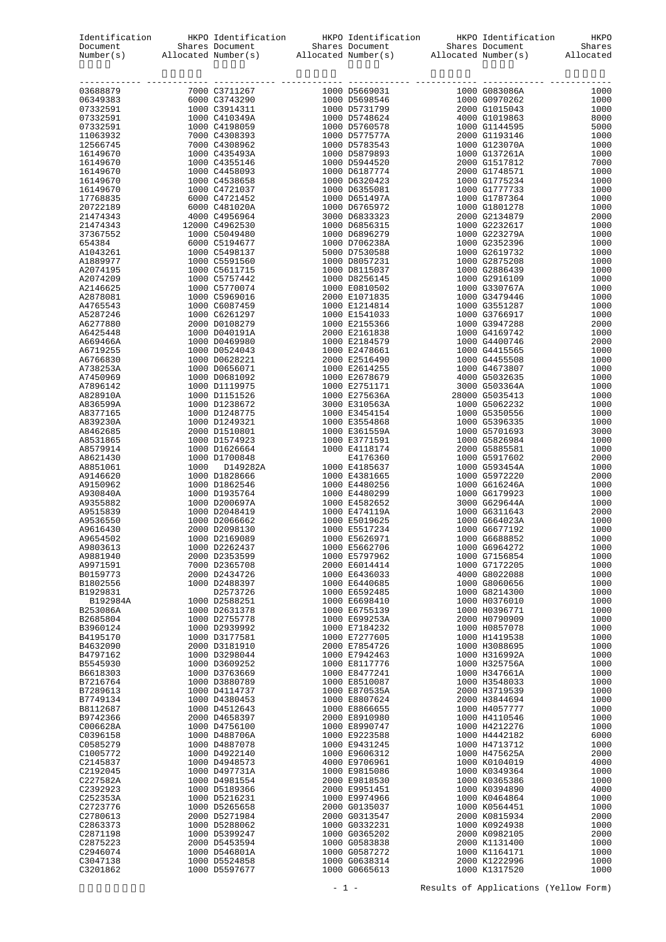|                      |                                |                                |                                | HKPO         |
|----------------------|--------------------------------|--------------------------------|--------------------------------|--------------|
|                      |                                |                                |                                |              |
|                      |                                |                                |                                |              |
|                      |                                | ----- ------------             | ------------------             |              |
|                      |                                |                                |                                | 1000<br>1000 |
|                      |                                |                                |                                | 1000         |
|                      |                                |                                |                                | 8000         |
|                      |                                |                                |                                | 5000         |
|                      |                                |                                |                                | 1000         |
|                      |                                |                                |                                | 1000         |
|                      |                                |                                |                                | 1000         |
|                      |                                |                                |                                | 7000         |
|                      |                                |                                |                                | 1000<br>1000 |
|                      |                                |                                |                                | 1000         |
|                      |                                |                                |                                | 1000         |
|                      |                                |                                |                                | 1000         |
|                      |                                |                                |                                | 2000         |
|                      |                                |                                |                                | 1000         |
|                      |                                |                                |                                | 1000         |
|                      |                                |                                |                                | 1000<br>1000 |
|                      |                                |                                |                                | 1000         |
|                      |                                |                                |                                | 1000         |
|                      |                                |                                |                                | 1000         |
|                      |                                |                                |                                | 1000         |
|                      |                                |                                |                                | 1000         |
|                      |                                |                                |                                | 1000         |
|                      |                                |                                |                                | 1000         |
|                      |                                |                                |                                | 2000<br>1000 |
|                      |                                |                                |                                | 2000         |
|                      |                                |                                |                                | 1000         |
|                      |                                |                                |                                | 1000         |
|                      |                                |                                |                                | 1000         |
|                      |                                |                                |                                | 1000         |
|                      |                                |                                |                                | 1000         |
|                      |                                |                                |                                | 1000         |
|                      |                                |                                |                                | 1000<br>1000 |
|                      |                                |                                |                                | 1000         |
|                      |                                |                                |                                | 3000         |
|                      |                                |                                |                                | 1000         |
|                      |                                |                                |                                | 1000         |
|                      |                                |                                |                                | 2000         |
|                      |                                |                                |                                | 1000         |
|                      |                                |                                |                                | 2000         |
|                      |                                |                                |                                | 1000         |
|                      |                                |                                |                                | 1000<br>1000 |
|                      |                                |                                |                                | 2000         |
|                      |                                |                                |                                | 1000         |
|                      |                                |                                |                                | 1000         |
| A9654502             | 1000 D2169089                  | 1000 E5626971                  | 1000 G6688852                  | 1000         |
| A9803613             | 1000 D2262437                  | 1000 E5662706                  | 1000 G6964272                  | 1000         |
| A9881940             | 2000 D2353599                  | 1000 E5797962                  | 1000 G7156854                  | 1000         |
| A9971591             | 7000 D2365708                  | 2000 E6014414                  | 1000 G7172205                  | 1000         |
| B0159773<br>B1802556 | 2000 D2434726<br>1000 D2488397 | 1000 E6436033<br>1000 E6440685 | 4000 G8022088<br>1000 G8060656 | 1000<br>1000 |
| B1929831             | D2573726                       | 1000 E6592485                  | 1000 G8214300                  | 1000         |
| B192984A             | 1000 D2588251                  | 1000 E6698410                  | 1000 H0376010                  | 1000         |
| B253086A             | 1000 D2631378                  | 1000 E6755139                  | 1000 H0396771                  | 1000         |
| B2685804             | 1000 D2755778                  | 1000 E699253A                  | 2000 H0790909                  | 1000         |
| B3960124             | 1000 D2939992                  | 1000 E7184232                  | 1000 H0857078                  | 1000         |
| B4195170             | 1000 D3177581                  | 1000 E7277605                  | 1000 H1419538                  | 1000         |
| B4632090             | 2000 D3181910                  | 2000 E7854726                  | 1000 H3088695                  | 1000         |
| B4797162<br>B5545930 | 1000 D3298044<br>1000 D3609252 | 1000 E7942463<br>1000 E8117776 | 1000 H316992A<br>1000 H325756A | 1000<br>1000 |
| B6618303             | 1000 D3763669                  | 1000 E8477241                  | 1000 H347661A                  | 1000         |
| B7216764             | 1000 D3880789                  | 1000 E8510087                  | 1000 H3548033                  | 1000         |
| B7289613             | 1000 D4114737                  | 1000 E870535A                  | 2000 H3719539                  | 1000         |
| B7749134             | 1000 D4380453                  | 1000 E8807624                  | 2000 H3844694                  | 1000         |
| B8112687             | 1000 D4512643                  | 1000 E8866655                  | 1000 H4057777                  | 1000         |
| B9742366             | 2000 D4658397                  | 2000 E8910980                  | 1000 H4110546                  | 1000         |
| C006628A             | 1000 D4756100                  | 1000 E8990747                  | 1000 H4212276                  | 1000         |
| C0396158             | 1000 D488706A                  | 1000 E9223588                  | 1000 H4442182                  | 6000         |
| C0585279<br>C1005772 | 1000 D4887078<br>1000 D4922140 | 1000 E9431245<br>1000 E9606312 | 1000 H4713712<br>1000 H475625A | 1000<br>2000 |
| C2145837             | 1000 D4948573                  | 4000 E9706961                  | 1000 K0104019                  | 4000         |
| C2192045             | 1000 D497731A                  | 1000 E9815086                  | 1000 K0349364                  | 1000         |
| C227582A             | 1000 D4981554                  | 2000 E9818530                  | 1000 K0365386                  | 1000         |
| C2392923             | 1000 D5189366                  | 2000 E9951451                  | 1000 K0394890                  | 4000         |
| C252353A             | 1000 D5216231                  | 1000 E9974966                  | 1000 K0464864                  | 1000         |
| C2723776             | 1000 D5265658                  | 2000 G0135037                  | 1000 K0564451                  | 1000         |
| C2780613             | 2000 D5271984                  | 2000 G0313547                  | 2000 K0815934                  | 2000         |
| C2863373<br>C2871198 | 1000 D5288062<br>1000 D5399247 | 1000 G0332231<br>1000 G0365202 | 1000 K0924938<br>2000 K0982105 | 1000<br>2000 |
| C2875223             | 2000 D5453594                  | 1000 G0583838                  | 2000 K1131400                  | 1000         |
| C2946074             | 1000 D546801A                  | 1000 G0587272                  | 1000 K1164171                  | 1000         |
| C3047138             | 1000 D5524858                  | 1000 G0638314                  | 2000 K1222996                  | 1000         |
| C3201862             | 1000 D5597677                  | 1000 G0665613                  | 1000 K1317520                  | 1000         |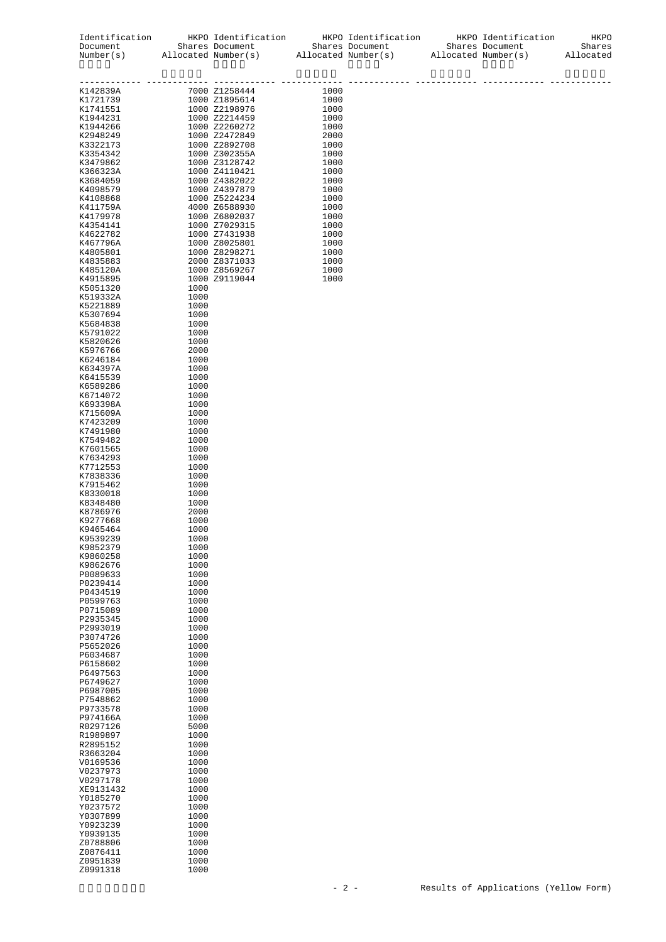| Identification<br>Document<br>Number(s) |              | HKPO Identification<br>Shares Document<br>Allocated Number(s) |              | HKPO Identification<br>Shares Document<br>Allocated Number(s) | HKPO Identification<br>Shares Document<br>Allocated Number(s) | HKPO<br>Shares<br>Allocated |
|-----------------------------------------|--------------|---------------------------------------------------------------|--------------|---------------------------------------------------------------|---------------------------------------------------------------|-----------------------------|
| K142839A                                |              | 7000 Z1258444                                                 | 1000         |                                                               |                                                               |                             |
| K1721739                                |              | 1000 Z1895614<br>1000 Z2198976                                | 1000         |                                                               |                                                               |                             |
| K1741551<br>K1944231                    |              | 1000 Z2214459                                                 | 1000<br>1000 |                                                               |                                                               |                             |
| K1944266                                |              | 1000 Z2260272                                                 | 1000         |                                                               |                                                               |                             |
| K2948249                                |              | 1000 Z2472849                                                 | 2000         |                                                               |                                                               |                             |
| K3322173                                |              | 1000 Z2892708                                                 | 1000         |                                                               |                                                               |                             |
| K3354342<br>K3479862                    |              | 1000 Z302355A<br>1000 Z3128742                                | 1000<br>1000 |                                                               |                                                               |                             |
| K366323A                                |              | 1000 Z4110421                                                 | 1000         |                                                               |                                                               |                             |
| K3684059                                |              | 1000 Z4382022                                                 | 1000         |                                                               |                                                               |                             |
| K4098579                                |              | 1000 Z4397879                                                 | 1000         |                                                               |                                                               |                             |
| K4108868<br>K411759A                    |              | 1000 Z5224234<br>4000 Z6588930                                | 1000<br>1000 |                                                               |                                                               |                             |
| K4179978                                |              | 1000 Z6802037                                                 | 1000         |                                                               |                                                               |                             |
| K4354141                                |              | 1000 Z7029315                                                 | 1000         |                                                               |                                                               |                             |
| K4622782                                |              | 1000 Z7431938                                                 | 1000         |                                                               |                                                               |                             |
| K467796A<br>K4805801                    |              | 1000 Z8025801<br>1000 Z8298271                                | 1000<br>1000 |                                                               |                                                               |                             |
| K4835883                                |              | 2000 Z8371033                                                 | 1000         |                                                               |                                                               |                             |
| K485120A                                |              | 1000 Z8569267                                                 | 1000         |                                                               |                                                               |                             |
| K4915895<br>K5051320                    | 1000         | 1000 Z9119044                                                 | 1000         |                                                               |                                                               |                             |
| K519332A                                | 1000         |                                                               |              |                                                               |                                                               |                             |
| K5221889                                | 1000         |                                                               |              |                                                               |                                                               |                             |
| K5307694                                | 1000         |                                                               |              |                                                               |                                                               |                             |
| K5684838<br>K5791022                    | 1000<br>1000 |                                                               |              |                                                               |                                                               |                             |
| K5820626                                | 1000         |                                                               |              |                                                               |                                                               |                             |
| K5976766                                | 2000         |                                                               |              |                                                               |                                                               |                             |
| K6246184<br>K634397A                    | 1000<br>1000 |                                                               |              |                                                               |                                                               |                             |
| K6415539                                | 1000         |                                                               |              |                                                               |                                                               |                             |
| K6589286                                | 1000         |                                                               |              |                                                               |                                                               |                             |
| K6714072                                | 1000         |                                                               |              |                                                               |                                                               |                             |
| K693398A<br>K715609A                    | 1000<br>1000 |                                                               |              |                                                               |                                                               |                             |
| K7423209                                | 1000         |                                                               |              |                                                               |                                                               |                             |
| K7491980                                | 1000         |                                                               |              |                                                               |                                                               |                             |
| K7549482<br>K7601565                    | 1000<br>1000 |                                                               |              |                                                               |                                                               |                             |
| K7634293                                | 1000         |                                                               |              |                                                               |                                                               |                             |
| K7712553                                | 1000         |                                                               |              |                                                               |                                                               |                             |
| K7838336<br>K7915462                    | 1000<br>1000 |                                                               |              |                                                               |                                                               |                             |
| K8330018                                | 1000         |                                                               |              |                                                               |                                                               |                             |
| K8348480                                | 1000         |                                                               |              |                                                               |                                                               |                             |
| K8786976                                | 2000         |                                                               |              |                                                               |                                                               |                             |
| K9277668<br>K9465464                    | 1000<br>1000 |                                                               |              |                                                               |                                                               |                             |
| K9539239                                | 1000         |                                                               |              |                                                               |                                                               |                             |
| K9852379                                | 1000         |                                                               |              |                                                               |                                                               |                             |
| K9860258<br>K9862676                    | 1000<br>1000 |                                                               |              |                                                               |                                                               |                             |
| P0089633                                | 1000         |                                                               |              |                                                               |                                                               |                             |
| P0239414                                | 1000         |                                                               |              |                                                               |                                                               |                             |
| P0434519<br>P0599763                    | 1000<br>1000 |                                                               |              |                                                               |                                                               |                             |
| P0715089                                | 1000         |                                                               |              |                                                               |                                                               |                             |
| P2935345                                | 1000         |                                                               |              |                                                               |                                                               |                             |
| P2993019<br>P3074726                    | 1000<br>1000 |                                                               |              |                                                               |                                                               |                             |
| P5652026                                | 1000         |                                                               |              |                                                               |                                                               |                             |
| P6034687                                | 1000         |                                                               |              |                                                               |                                                               |                             |
| P6158602                                | 1000         |                                                               |              |                                                               |                                                               |                             |
| P6497563<br>P6749627                    | 1000<br>1000 |                                                               |              |                                                               |                                                               |                             |
| P6987005                                | 1000         |                                                               |              |                                                               |                                                               |                             |
| P7548862                                | 1000         |                                                               |              |                                                               |                                                               |                             |
| P9733578<br>P974166A                    | 1000<br>1000 |                                                               |              |                                                               |                                                               |                             |
| R0297126                                | 5000         |                                                               |              |                                                               |                                                               |                             |
| R1989897                                | 1000         |                                                               |              |                                                               |                                                               |                             |
| R2895152                                | 1000         |                                                               |              |                                                               |                                                               |                             |
| R3663204<br>V0169536                    | 1000<br>1000 |                                                               |              |                                                               |                                                               |                             |
| V0237973                                | 1000         |                                                               |              |                                                               |                                                               |                             |
| V0297178                                | 1000         |                                                               |              |                                                               |                                                               |                             |
| XE9131432<br>Y0185270                   | 1000<br>1000 |                                                               |              |                                                               |                                                               |                             |
| Y0237572                                | 1000         |                                                               |              |                                                               |                                                               |                             |
| Y0307899                                | 1000         |                                                               |              |                                                               |                                                               |                             |
| Y0923239                                | 1000         |                                                               |              |                                                               |                                                               |                             |
| Y0939135<br>Z0788806                    | 1000<br>1000 |                                                               |              |                                                               |                                                               |                             |
| Z0876411                                | 1000         |                                                               |              |                                                               |                                                               |                             |
| Z0951839                                | 1000         |                                                               |              |                                                               |                                                               |                             |
| Z0991318                                | 1000         |                                                               |              |                                                               |                                                               |                             |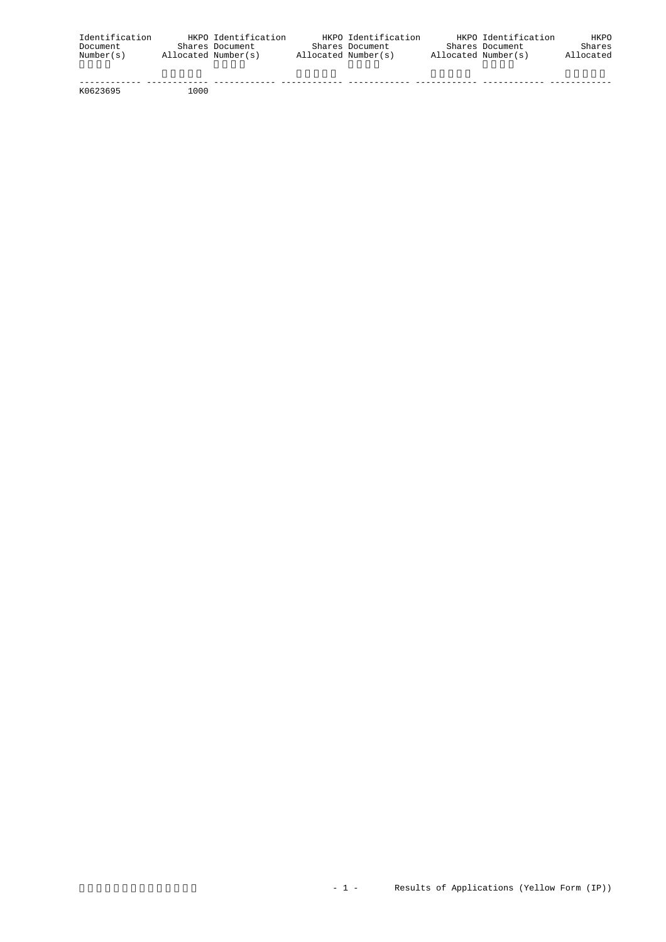| Identification |                     | HKPO Identification | HKPO Identification |                     | HKPO Identification | <b>HKPO</b> |
|----------------|---------------------|---------------------|---------------------|---------------------|---------------------|-------------|
| Document       |                     | Shares Document     | Shares Document     |                     | Shares Document     | Shares      |
| Number(s)      | Allocated Number(s) |                     | Allocated Number(s) | Allocated Number(s) |                     | Allocated   |
|                |                     |                     |                     |                     |                     |             |

 ------------ ------------ ------------ ------------ ------------ ------------ ------------ ------------ K0623695 1000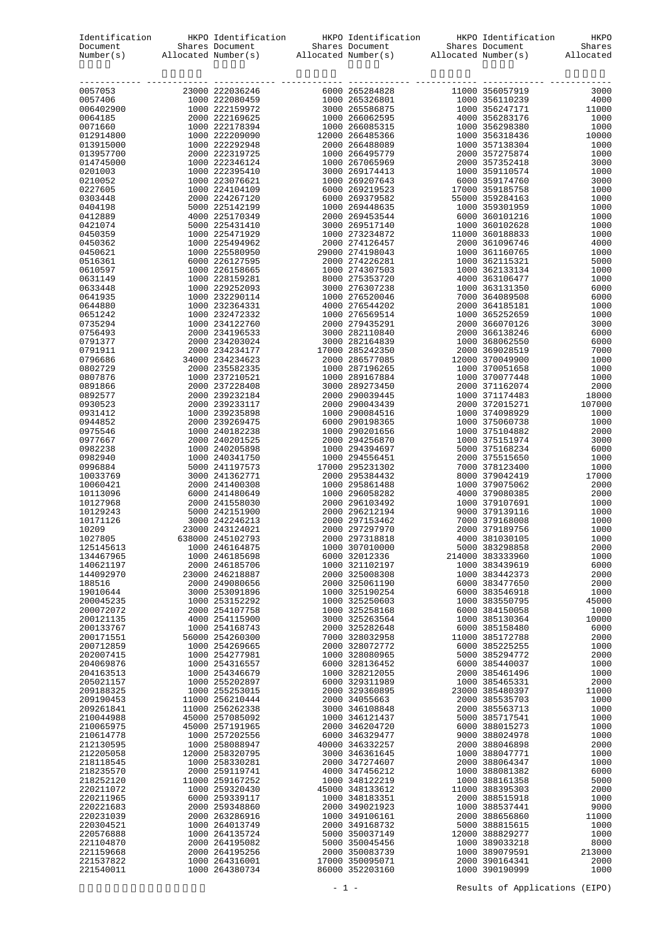|                        |                  |                                    | Identification HKPO Identification HKPO Identification HKPO Identification                                                                                                                                                     |                                    | HKPO         |
|------------------------|------------------|------------------------------------|--------------------------------------------------------------------------------------------------------------------------------------------------------------------------------------------------------------------------------|------------------------------------|--------------|
|                        |                  |                                    | Document Shares Document Shares Document Shares Document Shares Document Shares Document Shares Document Shares Document Shares Document Shares Document Shares Document Shares Document Shares Document Shares Document Share |                                    |              |
|                        |                  |                                    |                                                                                                                                                                                                                                |                                    |              |
|                        |                  |                                    |                                                                                                                                                                                                                                |                                    |              |
|                        |                  |                                    |                                                                                                                                                                                                                                |                                    |              |
|                        |                  |                                    |                                                                                                                                                                                                                                |                                    |              |
|                        |                  |                                    |                                                                                                                                                                                                                                |                                    |              |
|                        |                  |                                    |                                                                                                                                                                                                                                |                                    |              |
|                        |                  |                                    |                                                                                                                                                                                                                                |                                    |              |
|                        |                  |                                    |                                                                                                                                                                                                                                |                                    |              |
|                        |                  |                                    |                                                                                                                                                                                                                                |                                    |              |
|                        |                  |                                    |                                                                                                                                                                                                                                |                                    |              |
|                        |                  |                                    |                                                                                                                                                                                                                                |                                    |              |
|                        |                  |                                    |                                                                                                                                                                                                                                |                                    |              |
|                        |                  |                                    |                                                                                                                                                                                                                                |                                    |              |
|                        |                  |                                    |                                                                                                                                                                                                                                |                                    |              |
|                        |                  |                                    |                                                                                                                                                                                                                                |                                    |              |
|                        |                  |                                    |                                                                                                                                                                                                                                |                                    |              |
|                        |                  |                                    |                                                                                                                                                                                                                                |                                    |              |
|                        |                  |                                    |                                                                                                                                                                                                                                |                                    |              |
|                        |                  |                                    |                                                                                                                                                                                                                                |                                    |              |
|                        |                  |                                    |                                                                                                                                                                                                                                |                                    |              |
|                        |                  |                                    |                                                                                                                                                                                                                                |                                    |              |
|                        |                  |                                    |                                                                                                                                                                                                                                |                                    |              |
|                        |                  |                                    |                                                                                                                                                                                                                                |                                    |              |
|                        |                  |                                    |                                                                                                                                                                                                                                |                                    |              |
|                        |                  |                                    |                                                                                                                                                                                                                                |                                    |              |
|                        |                  |                                    |                                                                                                                                                                                                                                |                                    |              |
|                        |                  |                                    |                                                                                                                                                                                                                                |                                    |              |
|                        |                  |                                    |                                                                                                                                                                                                                                |                                    |              |
|                        |                  |                                    |                                                                                                                                                                                                                                |                                    |              |
|                        |                  |                                    |                                                                                                                                                                                                                                |                                    |              |
|                        |                  |                                    |                                                                                                                                                                                                                                |                                    |              |
|                        |                  |                                    |                                                                                                                                                                                                                                |                                    |              |
|                        |                  |                                    |                                                                                                                                                                                                                                |                                    |              |
|                        |                  |                                    |                                                                                                                                                                                                                                |                                    |              |
|                        |                  |                                    |                                                                                                                                                                                                                                |                                    |              |
|                        |                  |                                    |                                                                                                                                                                                                                                |                                    |              |
|                        |                  |                                    |                                                                                                                                                                                                                                |                                    |              |
|                        |                  |                                    |                                                                                                                                                                                                                                |                                    |              |
|                        |                  |                                    |                                                                                                                                                                                                                                |                                    |              |
|                        |                  |                                    |                                                                                                                                                                                                                                |                                    |              |
| 1027805                | 638000 245102793 |                                    | 2000 297318818                                                                                                                                                                                                                 | 4000 381030105                     | 1000         |
| 125145613<br>134467965 |                  | 1000 246164875<br>1000 246185698   | 1000 307010000<br>6000 32012336                                                                                                                                                                                                | 5000 383298858<br>214000 383333960 | 2000<br>1000 |
| 140621197              |                  | 2000 246185706                     | 1000 321102197                                                                                                                                                                                                                 | 1000 383439619                     | 6000         |
| 144092970              |                  | 23000 246218887                    | 2000 325008308                                                                                                                                                                                                                 | 1000 383442373                     | 2000         |
| 188516<br>19010644     |                  | 2000 249080656<br>3000 253091896   | 2000 325061190<br>1000 325190254                                                                                                                                                                                               | 6000 383477650<br>6000 383546918   | 2000<br>1000 |
| 200045235              |                  | 1000 253152292                     | 1000 325250603                                                                                                                                                                                                                 | 1000 383550795                     | 45000        |
| 200072072              |                  | 2000 254107758                     | 1000 325258168                                                                                                                                                                                                                 | 6000 384150058                     | 1000         |
| 200121135              |                  | 4000 254115900                     | 3000 325263564                                                                                                                                                                                                                 | 1000 385130364                     | 10000        |
| 200133767<br>200171551 |                  | 1000 254168743<br>56000 254260300  | 2000 325282648<br>7000 328032958                                                                                                                                                                                               | 6000 385158480<br>11000 385172788  | 6000<br>2000 |
| 200712859              |                  | 1000 254269665                     | 2000 328072772                                                                                                                                                                                                                 | 6000 385225255                     | 1000         |
| 202007415              |                  | 1000 254277981                     | 1000 328080965                                                                                                                                                                                                                 | 5000 385294772                     | 2000         |
| 204069876              |                  | 1000 254316557                     | 6000 328136452                                                                                                                                                                                                                 | 6000 385440037                     | 1000         |
| 204163513<br>205021157 |                  | 1000 254346679<br>1000 255202897   | 1000 328212055<br>6000 329311989                                                                                                                                                                                               | 2000 385461496<br>1000 385465331   | 1000<br>2000 |
| 209188325              |                  | 1000 255253015                     | 2000 329360895                                                                                                                                                                                                                 | 23000 385480397                    | 11000        |
| 209190453              |                  | 11000 256210444                    | 2000 34055663                                                                                                                                                                                                                  | 2000 385535703                     | 1000         |
| 209261841<br>210044988 |                  | 11000 256262338<br>45000 257085092 | 3000 346108848<br>1000 346121437                                                                                                                                                                                               | 2000 385563713<br>5000 385717541   | 1000<br>1000 |
| 210065975              |                  | 45000 257191965                    | 2000 346204720                                                                                                                                                                                                                 | 6000 388015273                     | 1000         |
| 210614778              |                  | 1000 257202556                     | 6000 346329477                                                                                                                                                                                                                 | 9000 388024978                     | 1000         |
| 212130595              |                  | 1000 258088947                     | 40000 346332257                                                                                                                                                                                                                | 2000 388046898                     | 2000         |
| 212205058<br>218118545 |                  | 12000 258320795<br>1000 258330281  | 3000 346361645<br>2000 347274607                                                                                                                                                                                               | 1000 388047771<br>2000 388064347   | 1000<br>1000 |
| 218235570              |                  | 2000 259119741                     | 4000 347456212                                                                                                                                                                                                                 | 1000 388081382                     | 6000         |
| 218252120              |                  | 11000 259167252                    | 1000 348122219                                                                                                                                                                                                                 | 1000 388161358                     | 5000         |
| 220211072              |                  | 1000 259320430<br>6000 259339117   | 45000 348133612                                                                                                                                                                                                                | 11000 388395303                    | 2000<br>1000 |
| 220211965<br>220221683 |                  | 2000 259348860                     | 1000 348183351<br>2000 349021923                                                                                                                                                                                               | 2000 388515918<br>1000 388537441   | 9000         |
| 220231039              |                  | 2000 263286916                     | 1000 349106161                                                                                                                                                                                                                 | 2000 388656860                     | 11000        |
| 220304521              |                  | 1000 264013749                     | 2000 349168732                                                                                                                                                                                                                 | 5000 388815615                     | 1000         |
| 220576888<br>221104870 |                  | 1000 264135724<br>2000 264195082   | 5000 350037149<br>5000 350045456                                                                                                                                                                                               | 12000 388829277<br>1000 389033218  | 1000<br>8000 |
| 221159668              |                  | 2000 264195256                     | 2000 350083739                                                                                                                                                                                                                 | 1000 389079591                     | 213000       |
| 221537822              |                  | 1000 264316001                     | 17000 350095071                                                                                                                                                                                                                | 2000 390164341                     | 2000         |
| 221540011              |                  | 1000 264380734                     | 86000 352203160                                                                                                                                                                                                                | 1000 390190999                     | 1000         |

- 1 - Results of Applications (EIPO)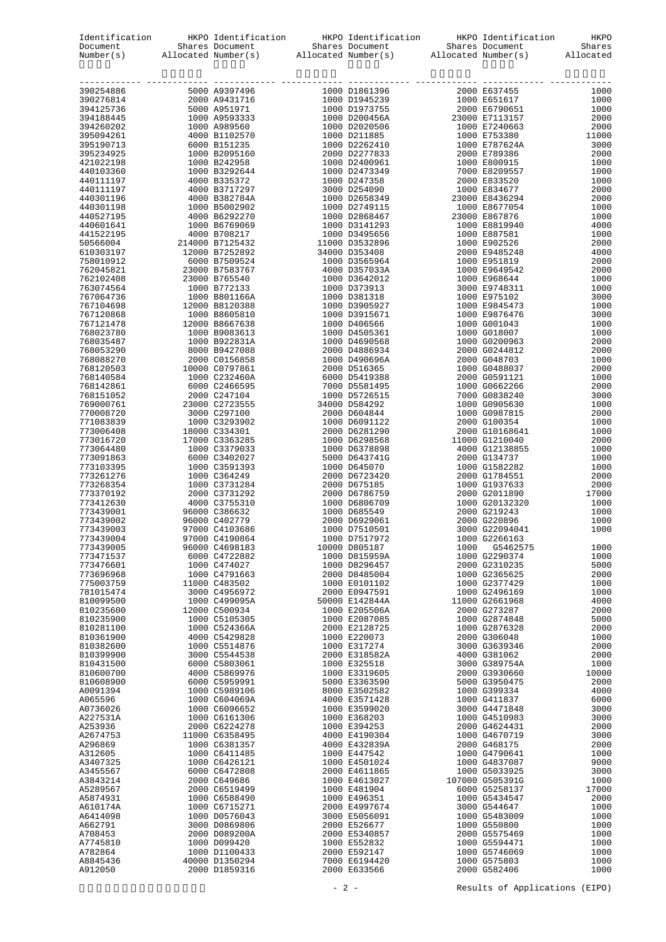|                                                                                                                                                                                                                                  |                                 | Identification HKPO Identification HKPO Identification HKPO Identification HKPO Identification HKPO Document<br>Document Shares Document Shares Document Shares Document Shares Number(s) Allocated Number(s) Allocated Number(s |      |                                 |              |
|----------------------------------------------------------------------------------------------------------------------------------------------------------------------------------------------------------------------------------|---------------------------------|----------------------------------------------------------------------------------------------------------------------------------------------------------------------------------------------------------------------------------|------|---------------------------------|--------------|
|                                                                                                                                                                                                                                  |                                 |                                                                                                                                                                                                                                  |      |                                 |              |
| EWRET : Alloeste Rubert : Alloeste Rubert : Alloeste Rubert : Alloeste Rubert : Alloeste Rubert : Alloeste Rubert : Alloeste Rubert : Alloeste Rubert : Alloeste Rubert : Allo 1991<br>1991–1991 : Acco Antarca (1992–1991) : Al |                                 |                                                                                                                                                                                                                                  |      |                                 |              |
|                                                                                                                                                                                                                                  |                                 |                                                                                                                                                                                                                                  |      |                                 |              |
|                                                                                                                                                                                                                                  |                                 |                                                                                                                                                                                                                                  |      |                                 |              |
|                                                                                                                                                                                                                                  |                                 |                                                                                                                                                                                                                                  |      |                                 |              |
|                                                                                                                                                                                                                                  |                                 |                                                                                                                                                                                                                                  |      |                                 |              |
|                                                                                                                                                                                                                                  |                                 |                                                                                                                                                                                                                                  |      |                                 |              |
|                                                                                                                                                                                                                                  |                                 |                                                                                                                                                                                                                                  |      |                                 |              |
|                                                                                                                                                                                                                                  |                                 |                                                                                                                                                                                                                                  |      |                                 |              |
|                                                                                                                                                                                                                                  |                                 |                                                                                                                                                                                                                                  |      |                                 |              |
|                                                                                                                                                                                                                                  |                                 |                                                                                                                                                                                                                                  |      |                                 |              |
|                                                                                                                                                                                                                                  |                                 |                                                                                                                                                                                                                                  |      |                                 |              |
|                                                                                                                                                                                                                                  |                                 |                                                                                                                                                                                                                                  |      |                                 |              |
|                                                                                                                                                                                                                                  |                                 |                                                                                                                                                                                                                                  |      |                                 |              |
|                                                                                                                                                                                                                                  |                                 |                                                                                                                                                                                                                                  |      |                                 |              |
|                                                                                                                                                                                                                                  |                                 |                                                                                                                                                                                                                                  |      |                                 |              |
|                                                                                                                                                                                                                                  |                                 |                                                                                                                                                                                                                                  |      |                                 |              |
|                                                                                                                                                                                                                                  |                                 |                                                                                                                                                                                                                                  |      |                                 |              |
|                                                                                                                                                                                                                                  |                                 |                                                                                                                                                                                                                                  |      |                                 |              |
|                                                                                                                                                                                                                                  |                                 |                                                                                                                                                                                                                                  |      |                                 |              |
|                                                                                                                                                                                                                                  |                                 |                                                                                                                                                                                                                                  |      |                                 |              |
|                                                                                                                                                                                                                                  |                                 |                                                                                                                                                                                                                                  |      |                                 |              |
|                                                                                                                                                                                                                                  |                                 |                                                                                                                                                                                                                                  |      |                                 |              |
|                                                                                                                                                                                                                                  |                                 |                                                                                                                                                                                                                                  |      |                                 |              |
|                                                                                                                                                                                                                                  |                                 |                                                                                                                                                                                                                                  |      |                                 |              |
|                                                                                                                                                                                                                                  |                                 |                                                                                                                                                                                                                                  |      |                                 |              |
|                                                                                                                                                                                                                                  |                                 |                                                                                                                                                                                                                                  |      |                                 |              |
|                                                                                                                                                                                                                                  |                                 |                                                                                                                                                                                                                                  |      |                                 |              |
|                                                                                                                                                                                                                                  |                                 |                                                                                                                                                                                                                                  |      |                                 |              |
|                                                                                                                                                                                                                                  |                                 |                                                                                                                                                                                                                                  |      |                                 |              |
|                                                                                                                                                                                                                                  |                                 |                                                                                                                                                                                                                                  |      |                                 |              |
|                                                                                                                                                                                                                                  |                                 |                                                                                                                                                                                                                                  |      |                                 |              |
|                                                                                                                                                                                                                                  |                                 |                                                                                                                                                                                                                                  |      |                                 |              |
|                                                                                                                                                                                                                                  |                                 |                                                                                                                                                                                                                                  |      |                                 |              |
|                                                                                                                                                                                                                                  |                                 |                                                                                                                                                                                                                                  |      |                                 |              |
|                                                                                                                                                                                                                                  |                                 |                                                                                                                                                                                                                                  |      |                                 |              |
|                                                                                                                                                                                                                                  |                                 |                                                                                                                                                                                                                                  |      |                                 |              |
|                                                                                                                                                                                                                                  |                                 |                                                                                                                                                                                                                                  |      |                                 |              |
|                                                                                                                                                                                                                                  |                                 |                                                                                                                                                                                                                                  |      |                                 |              |
|                                                                                                                                                                                                                                  |                                 |                                                                                                                                                                                                                                  |      |                                 |              |
|                                                                                                                                                                                                                                  |                                 |                                                                                                                                                                                                                                  |      |                                 |              |
| 773439004                                                                                                                                                                                                                        | 97000 C4190864                  | 1000 D7517972                                                                                                                                                                                                                    |      | 1000 G2266163                   |              |
| 773439005                                                                                                                                                                                                                        | 96000 C4698183                  | 10000 D805187                                                                                                                                                                                                                    | 1000 | G5462575                        | 1000         |
| 773471537<br>773476601                                                                                                                                                                                                           | 6000 C4722882<br>1000 C474027   | 1000 D815959A<br>1000 D8296457                                                                                                                                                                                                   |      | 1000 G2290374<br>2000 G2310235  | 1000<br>5000 |
| 773696968                                                                                                                                                                                                                        | 1000 C4791663                   | 2000 D8485004                                                                                                                                                                                                                    |      | 1000 G2365625                   | 2000         |
| 775003759                                                                                                                                                                                                                        | 11000 C483502                   | 1000 E0101102                                                                                                                                                                                                                    |      | 1000 G2377429                   | 1000         |
| 781015474                                                                                                                                                                                                                        | 3000 C4956972                   | 2000 E0947591                                                                                                                                                                                                                    |      | 1000 G2496169<br>11000 G2661968 | 1000         |
| 810099500<br>810235600                                                                                                                                                                                                           | 1000 C499095A<br>12000 C500934  | 50000 E142844A<br>1000 E205506A                                                                                                                                                                                                  |      | 2000 G273287                    | 4000<br>2000 |
| 810235900                                                                                                                                                                                                                        | 1000 C5105305                   | 1000 E2087085                                                                                                                                                                                                                    |      | 1000 G2874848                   | 5000         |
| 810281100                                                                                                                                                                                                                        | 1000 C524366A                   | 2000 E2128725                                                                                                                                                                                                                    |      | 1000 G2876328                   | 2000         |
| 810361900<br>810382600                                                                                                                                                                                                           | 4000 C5429828<br>1000 C5514876  | 1000 E220073<br>1000 E317274                                                                                                                                                                                                     |      | 2000 G306048<br>3000 G3639346   | 1000<br>2000 |
| 810399900                                                                                                                                                                                                                        | 3000 C5544538                   | 2000 E318582A                                                                                                                                                                                                                    |      | 4000 G381062                    | 2000         |
| 810431500                                                                                                                                                                                                                        | 6000 C5803061                   | 1000 E325518                                                                                                                                                                                                                     |      | 3000 G389754A                   | 1000         |
| 810600700                                                                                                                                                                                                                        | 4000 C5869976                   | 1000 E3319605                                                                                                                                                                                                                    |      | 2000 G3930660                   | 10000        |
| 810608900<br>A0091394                                                                                                                                                                                                            | 6000 C5959991<br>1000 C5989106  | 5000 E3363590<br>8000 E3502582                                                                                                                                                                                                   |      | 5000 G3950475<br>1000 G399334   | 2000<br>4000 |
| A065596                                                                                                                                                                                                                          | 1000 C604069A                   | 4000 E3571428                                                                                                                                                                                                                    |      | 1000 G411837                    | 6000         |
| A0736026                                                                                                                                                                                                                         | 1000 C6096652                   | 1000 E3599020                                                                                                                                                                                                                    |      | 3000 G4471848                   | 3000         |
| A227531A                                                                                                                                                                                                                         | 1000 C6161306                   | 1000 E368203                                                                                                                                                                                                                     |      | 1000 G4510983                   | 3000         |
| A253936<br>A2674753                                                                                                                                                                                                              | 2000 C6224278<br>11000 C6358495 | 1000 E394253<br>4000 E4190304                                                                                                                                                                                                    |      | 2000 G4624431<br>1000 G4670719  | 2000<br>3000 |
| A296869                                                                                                                                                                                                                          | 1000 C6381357                   | 4000 E432839A                                                                                                                                                                                                                    |      | 2000 G468175                    | 2000         |
| A312605                                                                                                                                                                                                                          | 1000 C6411485                   | 1000 E447542                                                                                                                                                                                                                     |      | 1000 G4790641                   | 1000         |
| A3407325                                                                                                                                                                                                                         | 1000 C6426121<br>6000 C6472808  | 1000 E4501024<br>2000 E4611865                                                                                                                                                                                                   |      | 1000 G4837087<br>1000 G5033925  | 9000<br>3000 |
| A3455567<br>A3843214                                                                                                                                                                                                             | 2000 C649686                    | 1000 E4613027                                                                                                                                                                                                                    |      | 107000 G505391G                 | 1000         |
| A5289567                                                                                                                                                                                                                         | 2000 C6519499                   | 1000 E481904                                                                                                                                                                                                                     |      | 6000 G5258137                   | 17000        |
| A5874931                                                                                                                                                                                                                         | 1000 C6588490                   | 1000 E496351                                                                                                                                                                                                                     |      | 1000 G5434547                   | 2000         |
| A610174A<br>A6414098                                                                                                                                                                                                             | 1000 C6715271<br>1000 D0576043  | 2000 E4997674<br>3000 E5056091                                                                                                                                                                                                   |      | 3000 G544647<br>1000 G5483009   | 1000<br>1000 |
| A662791                                                                                                                                                                                                                          | 3000 D0869806                   | 2000 E526677                                                                                                                                                                                                                     |      | 1000 G550800                    | 1000         |
| A708453                                                                                                                                                                                                                          | 2000 D089200A                   | 2000 E5340857                                                                                                                                                                                                                    |      | 2000 G5575469                   | 1000         |
| A7745810                                                                                                                                                                                                                         | 1000 D099420                    | 1000 E552832                                                                                                                                                                                                                     |      | 1000 G5594471                   | 1000         |
| A782864<br>A8845436                                                                                                                                                                                                              | 1000 D1100433<br>40000 D1350294 | 2000 E592147<br>7000 E6194420                                                                                                                                                                                                    |      | 1000 G5746069<br>1000 G575803   | 1000<br>1000 |
| A912050                                                                                                                                                                                                                          | 2000 D1859316                   | 2000 E633566                                                                                                                                                                                                                     |      | 2000 G582406                    | 1000         |

- 2 - Results of Applications (EIPO)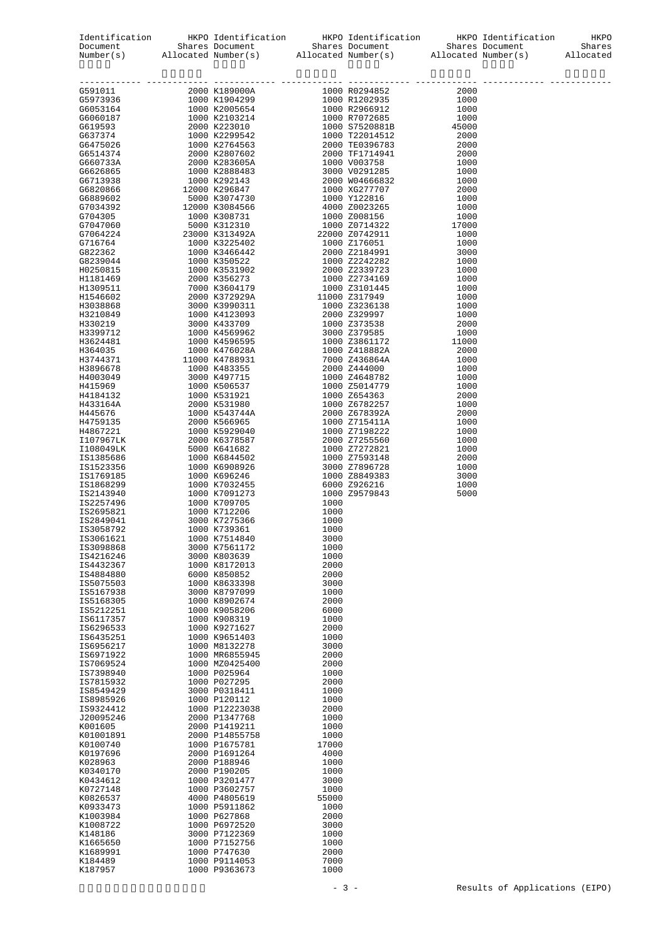|  |  |               | 1000 K739361 1000              | IS3058792              |
|--|--|---------------|--------------------------------|------------------------|
|  |  | 3000<br>1000  | 1000 K7514840<br>3000 K7561172 | IS3061621<br>IS3098868 |
|  |  | 1000          | 3000 K803639                   | IS4216246              |
|  |  | 2000          | 1000 K8172013                  | IS4432367              |
|  |  | 2000          | 6000 K850852                   | IS4884880              |
|  |  | 3000<br>1000  | 1000 K8633398                  | IS5075503              |
|  |  | 2000          | 3000 K8797099<br>1000 K8902674 | IS5167938<br>IS5168305 |
|  |  | 6000          | 1000 K9058206                  | IS5212251              |
|  |  | 1000          | 1000 K908319                   | IS6117357              |
|  |  | 2000          | 1000 K9271627                  | IS6296533              |
|  |  | 1000<br>3000  | 1000 K9651403<br>1000 M8132278 | IS6435251<br>IS6956217 |
|  |  | 2000          | 1000 MR6855945                 | IS6971922              |
|  |  | 2000          | 1000 MZ0425400                 | IS7069524              |
|  |  | 1000          | 1000 P025964                   | IS7398940              |
|  |  | 2000          | 1000 P027295                   | IS7815932              |
|  |  | 1000          | 3000 P0318411                  | IS8549429              |
|  |  | 1000<br>2000  | 1000 P120112<br>1000 P12223038 | IS8985926<br>IS9324412 |
|  |  | 1000          | 2000 P1347768                  | J20095246              |
|  |  | 1000          | 2000 P1419211                  | K001605                |
|  |  | 1000          | 2000 P14855758                 | K01001891              |
|  |  | 17000<br>4000 | 1000 P1675781                  | K0100740               |
|  |  | 1000          | 2000 P1691264<br>2000 P188946  | K0197696<br>K028963    |
|  |  | 1000          | 2000 P190205                   | K0340170               |
|  |  | 3000          | 1000 P3201477                  | K0434612               |
|  |  | 1000          | 1000 P3602757                  | K0727148               |
|  |  | 55000<br>1000 | 4000 P4805619                  | K0826537               |
|  |  | 2000          | 1000 P5911862<br>1000 P627868  | K0933473<br>K1003984   |
|  |  | 3000          | 1000 P6972520                  | K1008722               |
|  |  | 1000          | 3000 P7122369                  | K148186                |
|  |  | 1000          | 1000 P7152756                  | K1665650               |
|  |  | 2000<br>7000  | 1000 P747630<br>1000 P9114053  | K1689991<br>K184489    |
|  |  | 1000          | 1000 P9363673                  | K187957                |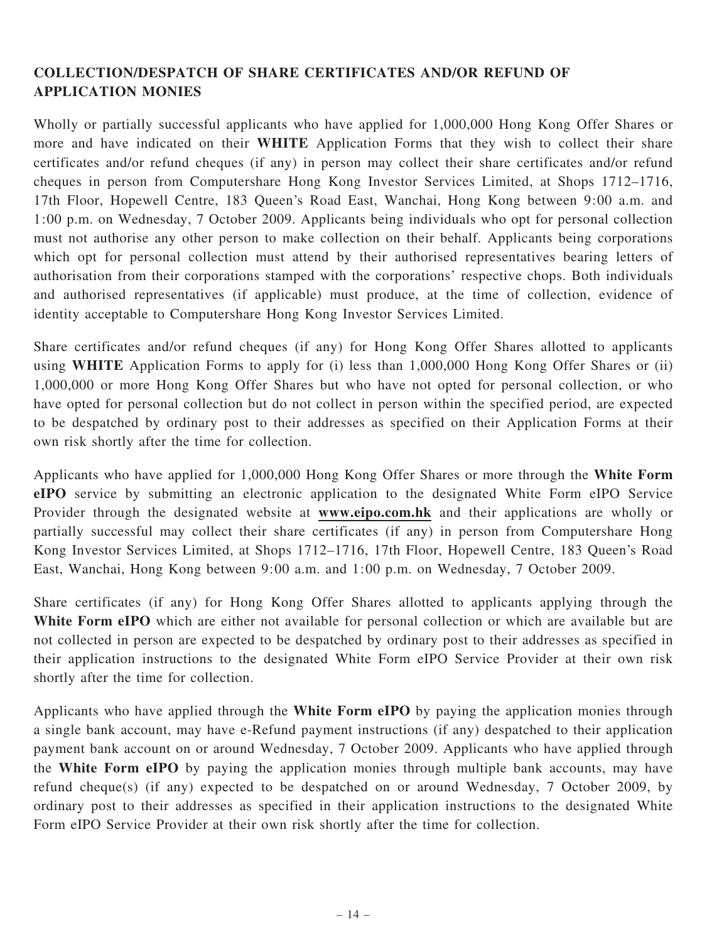## COLLECTION/DESPATCH OF SHARE CERTIFICATES AND/OR REFUND OF APPLICATION MONIES

Wholly or partially successful applicants who have applied for 1,000,000 Hong Kong Offer Shares or more and have indicated on their WHITE Application Forms that they wish to collect their share certificates and/or refund cheques (if any) in person may collect their share certificates and/or refund cheques in person from Computershare Hong Kong Investor Services Limited, at Shops 1712–1716, 17th Floor, Hopewell Centre, 183 Queen's Road East, Wanchai, Hong Kong between 9:00 a.m. and 1:00 p.m. on Wednesday, 7 October 2009. Applicants being individuals who opt for personal collection must not authorise any other person to make collection on their behalf. Applicants being corporations which opt for personal collection must attend by their authorised representatives bearing letters of authorisation from their corporations stamped with the corporations' respective chops. Both individuals and authorised representatives (if applicable) must produce, at the time of collection, evidence of identity acceptable to Computershare Hong Kong Investor Services Limited.

Share certificates and/or refund cheques (if any) for Hong Kong Offer Shares allotted to applicants using WHITE Application Forms to apply for (i) less than 1,000,000 Hong Kong Offer Shares or (ii) 1,000,000 or more Hong Kong Offer Shares but who have not opted for personal collection, or who have opted for personal collection but do not collect in person within the specified period, are expected to be despatched by ordinary post to their addresses as specified on their Application Forms at their own risk shortly after the time for collection.

Applicants who have applied for 1,000,000 Hong Kong Offer Shares or more through the White Form eIPO service by submitting an electronic application to the designated White Form eIPO Service Provider through the designated website at www.eipo.com.hk and their applications are wholly or partially successful may collect their share certificates (if any) in person from Computershare Hong Kong Investor Services Limited, at Shops 1712–1716, 17th Floor, Hopewell Centre, 183 Queen's Road East, Wanchai, Hong Kong between 9:00 a.m. and 1:00 p.m. on Wednesday, 7 October 2009.

Share certificates (if any) for Hong Kong Offer Shares allotted to applicants applying through the White Form eIPO which are either not available for personal collection or which are available but are not collected in person are expected to be despatched by ordinary post to their addresses as specified in their application instructions to the designated White Form eIPO Service Provider at their own risk shortly after the time for collection.

Applicants who have applied through the White Form eIPO by paying the application monies through a single bank account, may have e-Refund payment instructions (if any) despatched to their application payment bank account on or around Wednesday, 7 October 2009. Applicants who have applied through the White Form eIPO by paying the application monies through multiple bank accounts, may have refund cheque(s) (if any) expected to be despatched on or around Wednesday, 7 October 2009, by ordinary post to their addresses as specified in their application instructions to the designated White Form eIPO Service Provider at their own risk shortly after the time for collection.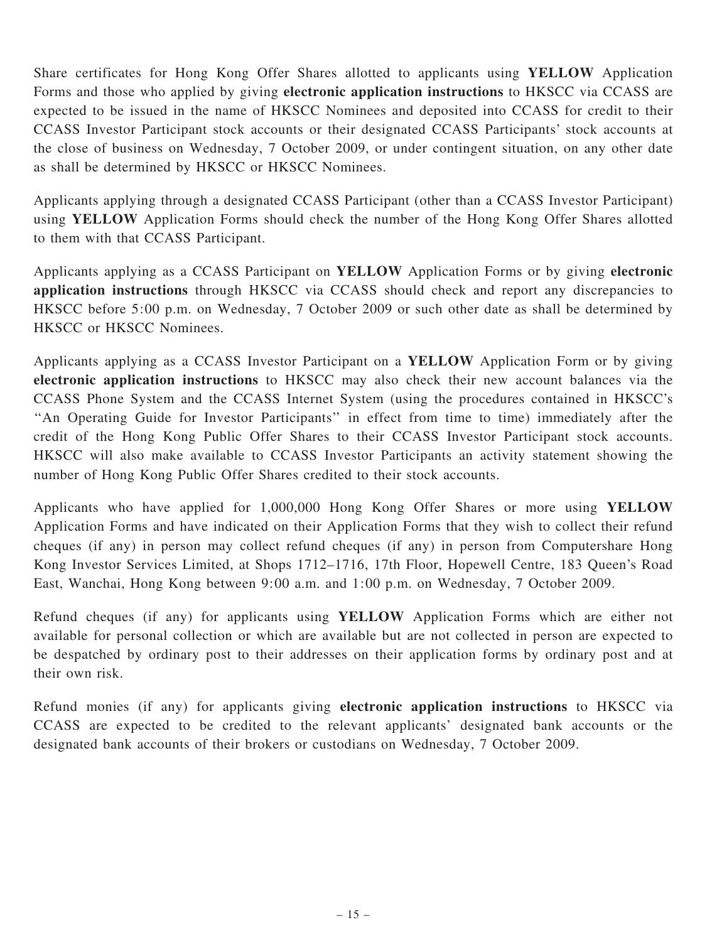Share certificates for Hong Kong Offer Shares allotted to applicants using YELLOW Application Forms and those who applied by giving electronic application instructions to HKSCC via CCASS are expected to be issued in the name of HKSCC Nominees and deposited into CCASS for credit to their CCASS Investor Participant stock accounts or their designated CCASS Participants' stock accounts at the close of business on Wednesday, 7 October 2009, or under contingent situation, on any other date as shall be determined by HKSCC or HKSCC Nominees.

Applicants applying through a designated CCASS Participant (other than a CCASS Investor Participant) using YELLOW Application Forms should check the number of the Hong Kong Offer Shares allotted to them with that CCASS Participant.

Applicants applying as a CCASS Participant on YELLOW Application Forms or by giving electronic application instructions through HKSCC via CCASS should check and report any discrepancies to HKSCC before 5:00 p.m. on Wednesday, 7 October 2009 or such other date as shall be determined by HKSCC or HKSCC Nominees.

Applicants applying as a CCASS Investor Participant on a YELLOW Application Form or by giving electronic application instructions to HKSCC may also check their new account balances via the CCASS Phone System and the CCASS Internet System (using the procedures contained in HKSCC's ''An Operating Guide for Investor Participants'' in effect from time to time) immediately after the credit of the Hong Kong Public Offer Shares to their CCASS Investor Participant stock accounts. HKSCC will also make available to CCASS Investor Participants an activity statement showing the number of Hong Kong Public Offer Shares credited to their stock accounts.

Applicants who have applied for 1,000,000 Hong Kong Offer Shares or more using YELLOW Application Forms and have indicated on their Application Forms that they wish to collect their refund cheques (if any) in person may collect refund cheques (if any) in person from Computershare Hong Kong Investor Services Limited, at Shops 1712–1716, 17th Floor, Hopewell Centre, 183 Queen's Road East, Wanchai, Hong Kong between 9:00 a.m. and 1:00 p.m. on Wednesday, 7 October 2009.

Refund cheques (if any) for applicants using YELLOW Application Forms which are either not available for personal collection or which are available but are not collected in person are expected to be despatched by ordinary post to their addresses on their application forms by ordinary post and at their own risk.

Refund monies (if any) for applicants giving electronic application instructions to HKSCC via CCASS are expected to be credited to the relevant applicants' designated bank accounts or the designated bank accounts of their brokers or custodians on Wednesday, 7 October 2009.